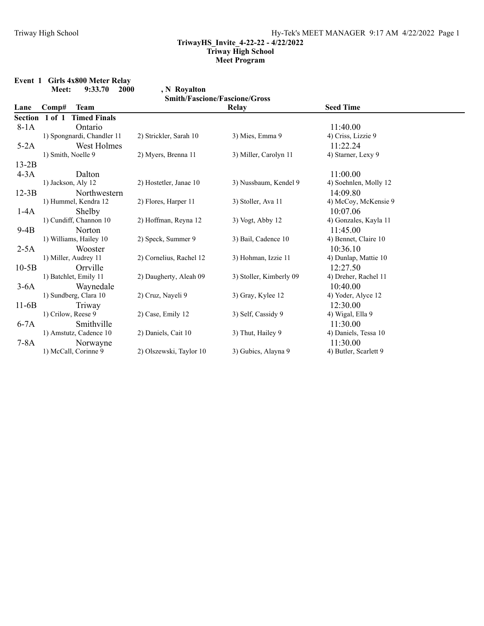**Event 1 Girls 4x800 Meter Relay**

|                | Meet:              | 9:33.70                    | <b>2000</b> | , N Royalton            |                                      |                       |
|----------------|--------------------|----------------------------|-------------|-------------------------|--------------------------------------|-----------------------|
|                |                    |                            |             |                         | <b>Smith/Fascione/Fascione/Gross</b> |                       |
| Lane           | Comp#              | <b>Team</b>                |             |                         | <b>Relay</b>                         | <b>Seed Time</b>      |
| <b>Section</b> | $1$ of $1$         | <b>Timed Finals</b>        |             |                         |                                      |                       |
| $8-1A$         |                    | Ontario                    |             |                         |                                      | 11:40.00              |
|                |                    | 1) Spongnardi, Chandler 11 |             | 2) Strickler, Sarah 10  | 3) Mies, Emma 9                      | 4) Criss, Lizzie 9    |
| $5-2A$         |                    | West Holmes                |             |                         |                                      | 11:22.24              |
|                | 1) Smith, Noelle 9 |                            |             | 2) Myers, Brenna 11     | 3) Miller, Carolyn 11                | 4) Starner, Lexy 9    |
| $13-2B$        |                    |                            |             |                         |                                      |                       |
| $4-3A$         |                    | Dalton                     |             |                         |                                      | 11:00.00              |
|                |                    | 1) Jackson, Aly 12         |             | 2) Hostetler, Janae 10  | 3) Nussbaum, Kendel 9                | 4) Soehnlen, Molly 12 |
| $12-3B$        |                    | Northwestern               |             |                         |                                      | 14:09.80              |
|                |                    | 1) Hummel, Kendra 12       |             | 2) Flores, Harper 11    | 3) Stoller, Ava 11                   | 4) McCoy, McKensie 9  |
| $1-4A$         |                    | Shelby                     |             |                         |                                      | 10:07.06              |
|                |                    | 1) Cundiff, Channon 10     |             | 2) Hoffman, Reyna 12    | $3)$ Vogt, Abby 12                   | 4) Gonzales, Kayla 11 |
| $9-4B$         |                    | Norton                     |             |                         |                                      | 11:45.00              |
|                |                    | 1) Williams, Hailey 10     |             | 2) Speck, Summer 9      | 3) Bail, Cadence 10                  | 4) Bennet, Claire 10  |
| $2-5A$         |                    | Wooster                    |             |                         |                                      | 10:36.10              |
|                |                    | 1) Miller, Audrey 11       |             | 2) Cornelius, Rachel 12 | 3) Hohman, Izzie 11                  | 4) Dunlap, Mattie 10  |
| $10-5B$        |                    | Orrville                   |             |                         |                                      | 12:27.50              |
|                |                    | 1) Batchlet, Emily 11      |             | 2) Daugherty, Aleah 09  | 3) Stoller, Kimberly 09              | 4) Dreher, Rachel 11  |
| $3-6A$         |                    | Waynedale                  |             |                         |                                      | 10:40.00              |
|                |                    | 1) Sundberg, Clara 10      |             | 2) Cruz, Nayeli 9       | 3) Gray, Kylee 12                    | 4) Yoder, Alyce 12    |
| $11-6B$        |                    | Triway                     |             |                         |                                      | 12:30.00              |
|                | 1) Crilow, Reese 9 |                            |             | 2) Case, Emily 12       | 3) Self, Cassidy 9                   | 4) Wigal, Ella 9      |
| $6-7A$         |                    | Smithville                 |             |                         |                                      | 11:30.00              |
|                |                    | 1) Amstutz, Cadence 10     |             | 2) Daniels, Cait 10     | 3) Thut, Hailey 9                    | 4) Daniels, Tessa 10  |
| $7-8A$         |                    | Norwayne                   |             |                         |                                      | 11:30.00              |
|                |                    | 1) McCall, Corinne 9       |             | 2) Olszewski, Taylor 10 | 3) Gubics, Alayna 9                  | 4) Butler, Scarlett 9 |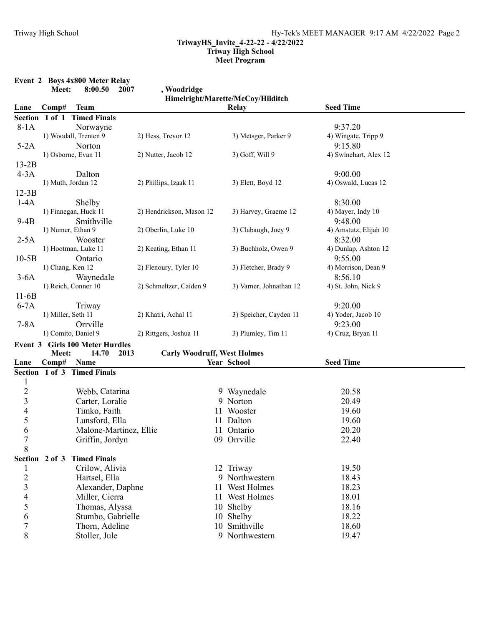|                          |                    | Event 2 Boys 4x800 Meter Relay         |                                    |                                   |                       |  |
|--------------------------|--------------------|----------------------------------------|------------------------------------|-----------------------------------|-----------------------|--|
|                          | Meet:              | 8:00.50<br>2007                        | , Woodridge                        |                                   |                       |  |
|                          |                    |                                        |                                    | Himelright/Marette/McCoy/Hilditch |                       |  |
| Lane                     | Comp#              | <b>Team</b>                            |                                    | Relay                             | <b>Seed Time</b>      |  |
| <b>Section</b>           | 1 of 1             | <b>Timed Finals</b>                    |                                    |                                   | 9:37.20               |  |
| $8-1A$                   |                    | Norwayne                               |                                    |                                   |                       |  |
|                          |                    | 1) Woodall, Trenten 9                  | 2) Hess, Trevor 12                 | 3) Metsger, Parker 9              | 4) Wingate, Tripp 9   |  |
| $5-2A$                   |                    | Norton                                 |                                    |                                   | 9:15.80               |  |
|                          |                    | 1) Osborne, Evan 11                    | 2) Nutter, Jacob 12                | 3) Goff, Will 9                   | 4) Swinehart, Alex 12 |  |
| $13-2B$                  |                    |                                        |                                    |                                   |                       |  |
| $4-3A$                   |                    | Dalton                                 |                                    |                                   | 9:00.00               |  |
|                          |                    | 1) Muth, Jordan 12                     | 2) Phillips, Izaak 11              | 3) Elett, Boyd 12                 | 4) Oswald, Lucas 12   |  |
| $12-3B$                  |                    |                                        |                                    |                                   |                       |  |
| $1-4A$                   |                    | Shelby                                 |                                    |                                   | 8:30.00               |  |
|                          |                    | 1) Finnegan, Huck 11                   | 2) Hendrickson, Mason 12           | 3) Harvey, Graeme 12              | 4) Mayer, Indy 10     |  |
| $9-4B$                   |                    | Smithville                             |                                    |                                   | 9:48.00               |  |
|                          | 1) Numer, Ethan 9  |                                        | 2) Oberlin, Luke 10                | 3) Clabaugh, Joey 9               | 4) Amstutz, Elijah 10 |  |
| $2-5A$                   |                    | Wooster                                |                                    |                                   | 8:32.00               |  |
|                          |                    | 1) Hootman, Luke 11                    | 2) Keating, Ethan 11               | 3) Buchholz, Owen 9               | 4) Dunlap, Ashton 12  |  |
| $10-5B$                  |                    | Ontario                                |                                    |                                   | 9:55.00               |  |
|                          | 1) Chang, Ken 12   |                                        | 2) Flenoury, Tyler 10              | 3) Fletcher, Brady 9              | 4) Morrison, Dean 9   |  |
| $3-6A$                   |                    | Waynedale                              |                                    |                                   | 8:56.10               |  |
|                          |                    | 1) Reich, Conner 10                    | 2) Schmeltzer, Caiden 9            | 3) Varner, Johnathan 12           | 4) St. John, Nick 9   |  |
| $11-6B$                  |                    |                                        |                                    |                                   |                       |  |
| $6-7A$                   |                    | Triway                                 |                                    |                                   | 9:20.00               |  |
|                          | 1) Miller, Seth 11 |                                        | 2) Khatri, Achal 11                | 3) Speicher, Cayden 11            | 4) Yoder, Jacob 10    |  |
| $7-8A$                   |                    | Orrville                               |                                    |                                   | 9:23.00               |  |
|                          |                    | 1) Comito, Daniel 9                    | 2) Rittgers, Joshua 11             | 3) Plumley, Tim 11                | 4) Cruz, Bryan 11     |  |
|                          |                    | <b>Event 3 Girls 100 Meter Hurdles</b> |                                    |                                   |                       |  |
|                          | Meet:              | 14.70<br>2013                          | <b>Carly Woodruff, West Holmes</b> |                                   |                       |  |
| Lane                     | Comp#              | Name                                   |                                    | Year School                       | <b>Seed Time</b>      |  |
|                          |                    | Section 1 of 3 Timed Finals            |                                    |                                   |                       |  |
| 1                        |                    |                                        |                                    |                                   |                       |  |
| $\overline{c}$           |                    | Webb, Catarina                         |                                    | 9 Waynedale                       | 20.58                 |  |
| 3                        |                    | Carter, Loralie                        |                                    | 9 Norton                          | 20.49                 |  |
| $\overline{\mathcal{L}}$ |                    | Timko, Faith                           |                                    | 11 Wooster                        | 19.60                 |  |
| 5                        |                    | Lunsford, Ella                         |                                    | 11 Dalton                         | 19.60                 |  |
| 6                        |                    | Malone-Martinez, Ellie                 |                                    | 11 Ontario                        | 20.20                 |  |
| 7                        |                    | Griffin, Jordyn                        |                                    | 09 Orrville                       | 22.40                 |  |
| 8                        |                    |                                        |                                    |                                   |                       |  |
|                          |                    | Section 2 of 3 Timed Finals            |                                    |                                   |                       |  |
| 1                        |                    | Crilow, Alivia                         |                                    | 12 Triway                         | 19.50                 |  |
| $\overline{c}$           |                    | Hartsel, Ella                          |                                    | 9 Northwestern                    | 18.43                 |  |
| 3                        |                    | Alexander, Daphne                      |                                    | 11 West Holmes                    | 18.23                 |  |
| $\overline{\mathcal{L}}$ |                    | Miller, Cierra                         |                                    | 11 West Holmes                    | 18.01                 |  |
| 5                        |                    | Thomas, Alyssa                         |                                    | 10 Shelby                         | 18.16                 |  |
| 6                        |                    | Stumbo, Gabrielle                      |                                    | 10 Shelby                         | 18.22                 |  |
| $\boldsymbol{7}$         |                    | Thorn, Adeline                         |                                    | 10 Smithville                     | 18.60                 |  |
| 8                        |                    | Stoller, Jule                          |                                    | 9 Northwestern                    | 19.47                 |  |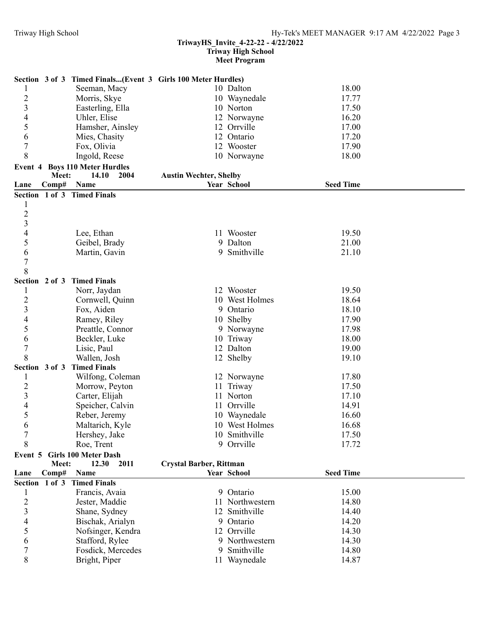#### **TriwayHS\_Invite\_4-22-22 - 4/22/2022 Triway High School**

**Meet Program**

|                             | Section 3 of 3 Timed Finals(Event 3 Girls 100 Meter Hurdles) |                               |                              |                  |  |
|-----------------------------|--------------------------------------------------------------|-------------------------------|------------------------------|------------------|--|
|                             | Seeman, Macy                                                 |                               | 10 Dalton                    | 18.00            |  |
| $\overline{c}$              | Morris, Skye                                                 |                               | 10 Waynedale                 | 17.77            |  |
| $\overline{\mathbf{3}}$     | Easterling, Ella                                             |                               | 10 Norton                    | 17.50            |  |
| 4                           | Uhler, Elise                                                 |                               | 12 Norwayne                  | 16.20            |  |
| 5                           | Hamsher, Ainsley                                             |                               | 12 Orrville                  | 17.00            |  |
| 6                           | Mies, Chasity                                                |                               | 12 Ontario                   | 17.20            |  |
| $\boldsymbol{7}$            | Fox, Olivia                                                  |                               | 12 Wooster                   | 17.90            |  |
| 8                           | Ingold, Reese                                                |                               | 10 Norwayne                  | 18.00            |  |
|                             | <b>Event 4 Boys 110 Meter Hurdles</b>                        |                               |                              |                  |  |
| Meet:                       | 14.10<br>2004                                                | <b>Austin Wechter, Shelby</b> |                              |                  |  |
| Comp#<br>Lane               | Name                                                         |                               | Year School                  | <b>Seed Time</b> |  |
| Section 1 of 3 Timed Finals |                                                              |                               |                              |                  |  |
| 1                           |                                                              |                               |                              |                  |  |
| $\overline{c}$              |                                                              |                               |                              |                  |  |
| $\overline{\mathbf{3}}$     |                                                              |                               |                              |                  |  |
| 4                           | Lee, Ethan                                                   |                               | 11 Wooster                   | 19.50            |  |
| 5                           | Geibel, Brady                                                |                               | 9 Dalton                     | 21.00            |  |
| 6                           | Martin, Gavin                                                |                               | 9 Smithville                 | 21.10            |  |
| 7                           |                                                              |                               |                              |                  |  |
| 8                           |                                                              |                               |                              |                  |  |
| Section 2 of 3 Timed Finals |                                                              |                               |                              |                  |  |
| 1                           | Norr, Jaydan                                                 |                               | 12 Wooster                   | 19.50            |  |
| $\overline{c}$              | Cornwell, Quinn                                              |                               | 10 West Holmes               | 18.64            |  |
| 3                           | Fox, Aiden                                                   |                               | 9 Ontario                    | 18.10            |  |
| 4                           | Ramey, Riley                                                 |                               | 10 Shelby                    | 17.90            |  |
| 5                           | Preattle, Connor                                             |                               | 9 Norwayne                   | 17.98            |  |
| 6                           | Beckler, Luke                                                |                               | 10 Triway                    | 18.00            |  |
| $\overline{7}$              | Lisic, Paul                                                  |                               | 12 Dalton                    | 19.00            |  |
| 8                           | Wallen, Josh                                                 |                               | 12 Shelby                    | 19.10            |  |
| Section 3 of 3 Timed Finals |                                                              |                               |                              |                  |  |
| 1                           | Wilfong, Coleman                                             |                               | 12 Norwayne                  | 17.80            |  |
| $\overline{c}$              | Morrow, Peyton                                               |                               | 11 Triway                    | 17.50            |  |
| $\overline{\mathbf{3}}$     | Carter, Elijah                                               |                               | 11 Norton                    | 17.10            |  |
| 4                           | Speicher, Calvin                                             |                               | 11 Orrville                  | 14.91            |  |
| 5                           | Reber, Jeremy                                                |                               | 10 Waynedale                 | 16.60            |  |
| 6                           | Maltarich, Kyle                                              |                               | 10 West Holmes               | 16.68            |  |
| 7                           | Hershey, Jake                                                |                               | 10 Smithville                | 17.50            |  |
| 8                           | Roe, Trent                                                   |                               | 9 Orrville                   | 17.72            |  |
| Event 5                     | <b>Girls 100 Meter Dash</b>                                  |                               |                              |                  |  |
| Meet:                       | 2011<br>12.30                                                | Crystal Barber, Rittman       |                              |                  |  |
| Comp#<br>Lane               | Name                                                         |                               | Year School                  | <b>Seed Time</b> |  |
| Section 1 of 3 Timed Finals |                                                              |                               |                              |                  |  |
|                             | Francis, Avaia                                               |                               | 9 Ontario                    | 15.00            |  |
| $\overline{c}$              | Jester, Maddie                                               |                               | 11 Northwestern              | 14.80            |  |
| 3                           | Shane, Sydney                                                |                               | 12 Smithville                | 14.40            |  |
| 4                           | Bischak, Arialyn                                             |                               | 9 Ontario                    | 14.20            |  |
| 5                           | Nofsinger, Kendra                                            |                               | 12 Orrville                  | 14.30            |  |
| 6                           | Stafford, Rylee                                              |                               | 9 Northwestern               | 14.30            |  |
|                             |                                                              |                               |                              |                  |  |
| 7<br>8                      | Fosdick, Mercedes<br>Bright, Piper                           |                               | 9 Smithville<br>11 Waynedale | 14.80<br>14.87   |  |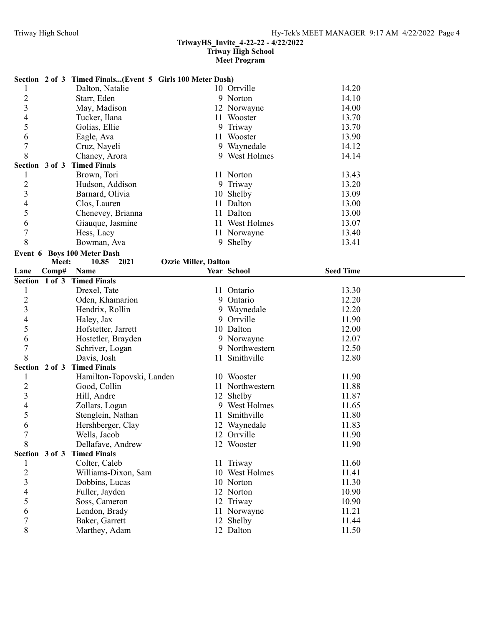#### **TriwayHS\_Invite\_4-22-22 - 4/22/2022 Triway High School**

#### **Meet Program**

|                  |       | Section 2 of 3 Timed Finals(Event 5 Girls 100 Meter Dash) |                             |                 |                  |  |
|------------------|-------|-----------------------------------------------------------|-----------------------------|-----------------|------------------|--|
| 1                |       | Dalton, Natalie                                           |                             | 10 Orrville     | 14.20            |  |
| $\overline{c}$   |       | Starr, Eden                                               |                             | 9 Norton        | 14.10            |  |
| 3                |       | May, Madison                                              |                             | 12 Norwayne     | 14.00            |  |
| 4                |       | Tucker, Ilana                                             |                             | 11 Wooster      | 13.70            |  |
| 5                |       | Golias, Ellie                                             |                             | 9 Triway        | 13.70            |  |
| 6                |       | Eagle, Ava                                                |                             | 11 Wooster      | 13.90            |  |
| $\overline{7}$   |       | Cruz, Nayeli                                              |                             | 9 Waynedale     | 14.12            |  |
| 8                |       | Chaney, Arora                                             |                             | 9 West Holmes   | 14.14            |  |
|                  |       | Section 3 of 3 Timed Finals                               |                             |                 |                  |  |
| $\mathbf{1}$     |       | Brown, Tori                                               |                             | 11 Norton       | 13.43            |  |
| $\overline{c}$   |       | Hudson, Addison                                           |                             | 9 Triway        | 13.20            |  |
| $\mathfrak{Z}$   |       | Barnard, Olivia                                           |                             | 10 Shelby       | 13.09            |  |
| 4                |       | Clos, Lauren                                              |                             | 11 Dalton       | 13.00            |  |
| 5                |       | Chenevey, Brianna                                         |                             | 11 Dalton       | 13.00            |  |
| 6                |       | Giauque, Jasmine                                          |                             | 11 West Holmes  | 13.07            |  |
| $\boldsymbol{7}$ |       | Hess, Lacy                                                |                             | 11 Norwayne     | 13.40            |  |
| 8                |       | Bowman, Ava                                               |                             | 9 Shelby        | 13.41            |  |
|                  |       | Event 6 Boys 100 Meter Dash                               |                             |                 |                  |  |
|                  | Meet: | 10.85<br>2021                                             | <b>Ozzie Miller, Dalton</b> |                 |                  |  |
| Lane             | Comp# | Name                                                      |                             | Year School     | <b>Seed Time</b> |  |
|                  |       | Section 1 of 3 Timed Finals                               |                             |                 |                  |  |
| 1                |       | Drexel, Tate                                              |                             | 11 Ontario      | 13.30            |  |
| $\overline{c}$   |       | Oden, Khamarion                                           |                             | 9 Ontario       | 12.20            |  |
| 3                |       | Hendrix, Rollin                                           |                             | 9 Waynedale     | 12.20            |  |
| 4                |       | Haley, Jax                                                |                             | 9 Orrville      | 11.90            |  |
| 5                |       | Hofstetter, Jarrett                                       |                             | 10 Dalton       | 12.00            |  |
| 6                |       | Hostetler, Brayden                                        |                             | 9 Norwayne      | 12.07            |  |
| $\overline{7}$   |       | Schriver, Logan                                           |                             | 9 Northwestern  | 12.50            |  |
| 8                |       | Davis, Josh                                               |                             | 11 Smithville   | 12.80            |  |
|                  |       | Section 2 of 3 Timed Finals                               |                             |                 |                  |  |
| 1                |       | Hamilton-Topovski, Landen                                 |                             |                 |                  |  |
| $\overline{2}$   |       |                                                           |                             | 10 Wooster      | 11.90            |  |
|                  |       | Good, Collin                                              |                             | 11 Northwestern | 11.88            |  |
| 3                |       | Hill, Andre                                               |                             | 12 Shelby       | 11.87            |  |
| 4                |       | Zollars, Logan                                            |                             | 9 West Holmes   | 11.65            |  |
| 5                |       | Stenglein, Nathan                                         |                             | 11 Smithville   | 11.80            |  |
| 6                |       | Hershberger, Clay                                         |                             | 12 Waynedale    | 11.83            |  |
| 7                |       | Wells, Jacob                                              |                             | 12 Orrville     | 11.90            |  |
| 8                |       | Dellafave, Andrew                                         |                             | 12 Wooster      | 11.90            |  |
| Section 3 of 3   |       | <b>Timed Finals</b>                                       |                             |                 |                  |  |
|                  |       | Colter, Caleb                                             |                             | 11 Triway       | 11.60            |  |
| 2                |       | Williams-Dixon, Sam                                       |                             | 10 West Holmes  | 11.41            |  |
| 3                |       | Dobbins, Lucas                                            |                             | 10 Norton       | 11.30            |  |
| 4                |       | Fuller, Jayden                                            |                             | 12 Norton       | 10.90            |  |
| 5                |       | Soss, Cameron                                             |                             | 12 Triway       | 10.90            |  |
| 6                |       | Lendon, Brady                                             |                             | 11 Norwayne     | 11.21            |  |
| 7                |       | Baker, Garrett                                            |                             | 12 Shelby       | 11.44            |  |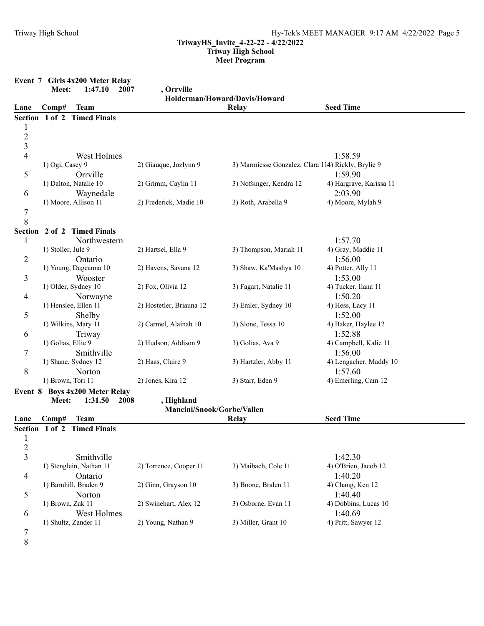|                          |                    | Event 7 Girls 4x200 Meter Relay                   |                            |                                                    |                                |
|--------------------------|--------------------|---------------------------------------------------|----------------------------|----------------------------------------------------|--------------------------------|
|                          | Meet:              | 1:47.10<br>2007                                   | , Orrville                 |                                                    |                                |
| Lane                     | Comp#              | <b>Team</b>                                       |                            | Holderman/Howard/Davis/Howard<br><b>Relay</b>      | <b>Seed Time</b>               |
|                          |                    | Section 1 of 2 Timed Finals                       |                            |                                                    |                                |
| $\mathbf{1}$             |                    |                                                   |                            |                                                    |                                |
|                          |                    |                                                   |                            |                                                    |                                |
| $\frac{2}{3}$            |                    |                                                   |                            |                                                    |                                |
| $\overline{\mathcal{L}}$ |                    | West Holmes                                       |                            |                                                    | 1:58.59                        |
|                          | 1) Ogi, Casey 9    |                                                   | 2) Giauque, Jozlynn 9      | 3) Marmiesse Gonzalez, Clara 114) Rickly, Brylie 9 |                                |
| 5                        |                    | Orrville                                          |                            |                                                    | 1:59.90                        |
|                          |                    | 1) Dalton, Natalie 10                             | 2) Grimm, Caylin 11        | 3) Nofsinger, Kendra 12                            | 4) Hargrave, Karissa 11        |
| 6                        |                    | Waynedale                                         |                            |                                                    | 2:03.90                        |
|                          |                    | 1) Moore, Allison 11                              | 2) Frederick, Madie 10     | 3) Roth, Arabella 9                                | 4) Moore, Mylah 9              |
| $\overline{7}$           |                    |                                                   |                            |                                                    |                                |
| 8                        |                    |                                                   |                            |                                                    |                                |
|                          |                    | Section 2 of 2 Timed Finals                       |                            |                                                    |                                |
| 1                        |                    | Northwestern                                      |                            |                                                    | 1:57.70                        |
|                          | 1) Stoller, Jule 9 |                                                   | 2) Hartsel, Ella 9         | 3) Thompson, Mariah 11                             | 4) Gray, Maddie 11             |
| 2                        |                    | Ontario                                           |                            |                                                    | 1:56.00                        |
|                          |                    | 1) Young, Dageanna 10                             | 2) Havens, Savana 12       | 3) Shaw, Ka'Mashya 10                              | 4) Potter, Ally 11             |
| 3                        |                    | Wooster                                           |                            |                                                    | 1:53.00                        |
|                          |                    | 1) Older, Sydney 10                               | 2) Fox, Olivia 12          | 3) Fagart, Natalie 11                              | 4) Tucker, Ilana 11            |
| 4                        |                    | Norwayne                                          |                            |                                                    | 1:50.20                        |
|                          |                    | 1) Henslee, Ellen 11                              | 2) Hostetler, Briauna 12   | 3) Emler, Sydney 10                                | 4) Hess, Lacy 11               |
| 5                        |                    | Shelby                                            |                            |                                                    | 1:52.00                        |
|                          |                    | 1) Wilkins, Mary 11                               | 2) Carmel, Alainah 10      | 3) Slone, Tessa 10                                 | 4) Baker, Haylee 12            |
| 6                        |                    | Triway                                            |                            |                                                    | 1:52.88                        |
|                          | 1) Golias, Ellie 9 |                                                   | 2) Hudson, Addison 9       | 3) Golias, Ava 9                                   | 4) Campbell, Kalie 11          |
| 7                        |                    | Smithville                                        | 2) Haas, Claire 9          | 3) Hartzler, Abby 11                               | 1:56.00                        |
|                          |                    | 1) Shane, Sydney 12                               |                            |                                                    | 4) Lengacher, Maddy 10         |
| $\,8\,$                  | 1) Brown, Tori 11  | Norton                                            | 2) Jones, Kira 12          | 3) Starr, Eden 9                                   | 1:57.60<br>4) Emerling, Cam 12 |
|                          |                    |                                                   |                            |                                                    |                                |
|                          | Meet:              | Event 8 Boys 4x200 Meter Relay<br>1:31.50<br>2008 | , Highland                 |                                                    |                                |
|                          |                    |                                                   | Mancini/Snook/Gorbe/Vallen |                                                    |                                |
| Lane                     | Comp#              | <b>Team</b>                                       |                            | Relay                                              | <b>Seed Time</b>               |
|                          |                    | Section 1 of 2 Timed Finals                       |                            |                                                    |                                |
| $\mathbf{1}$             |                    |                                                   |                            |                                                    |                                |
| $\overline{c}$           |                    |                                                   |                            |                                                    |                                |
| $\overline{\mathbf{3}}$  |                    | Smithville                                        |                            |                                                    | 1:42.30                        |
|                          |                    | 1) Stenglein, Nathan 11                           | 2) Torrence, Cooper 11     | 3) Maibach, Cole 11                                | 4) O'Brien, Jacob 12           |
| 4                        |                    | Ontario                                           |                            |                                                    | 1:40.20                        |
|                          |                    | 1) Barnhill, Braden 9                             | 2) Ginn, Grayson 10        | 3) Boone, Bralen 11                                | 4) Chang, Ken 12               |
| 5                        |                    | Norton                                            |                            |                                                    | 1:40.40                        |
|                          | 1) Brown, Zak 11   |                                                   | 2) Swinehart, Alex 12      | 3) Osborne, Evan 11                                | 4) Dobbins, Lucas 10           |
| 6                        |                    | West Holmes                                       |                            |                                                    | 1:40.69                        |
|                          |                    | 1) Shultz, Zander 11                              | 2) Young, Nathan 9         | 3) Miller, Grant 10                                | 4) Pritt, Sawyer 12            |
| 7                        |                    |                                                   |                            |                                                    |                                |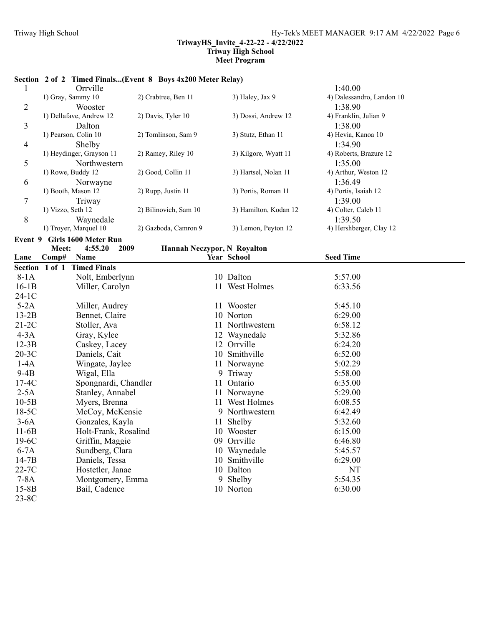# **Section 2 of 2 Timed Finals...(Event 8 Boys 4x200 Meter Relay)**

| $\mathbf{1}$ | Orrville                              |                             |    |                       | 1:40.00                   |  |
|--------------|---------------------------------------|-----------------------------|----|-----------------------|---------------------------|--|
|              | 1) Gray, Sammy 10                     | 2) Crabtree, Ben 11         |    | 3) Haley, Jax 9       | 4) Dalessandro, Landon 10 |  |
| 2            | Wooster                               |                             |    |                       | 1:38.90                   |  |
|              | 1) Dellafave, Andrew 12               | 2) Davis, Tyler 10          |    | 3) Dossi, Andrew 12   | 4) Franklin, Julian 9     |  |
| 3            | Dalton                                |                             |    |                       | 1:38.00                   |  |
|              | 1) Pearson, Colin 10                  | 2) Tomlinson, Sam 9         |    | 3) Stutz, Ethan 11    | 4) Hevia, Kanoa 10        |  |
| 4            | Shelby                                |                             |    |                       | 1:34.90                   |  |
|              | 1) Heydinger, Grayson 11              | 2) Ramey, Riley 10          |    | 3) Kilgore, Wyatt 11  | 4) Roberts, Brazure 12    |  |
| 5            | Northwestern                          |                             |    |                       | 1:35.00                   |  |
|              | 1) Rowe, Buddy 12                     | 2) Good, Collin 11          |    | 3) Hartsel, Nolan 11  | 4) Arthur, Weston 12      |  |
| 6            | Norwayne                              |                             |    |                       | 1:36.49                   |  |
|              | 1) Booth, Mason 12                    | 2) Rupp, Justin 11          |    | 3) Portis, Roman 11   | 4) Portis, Isaiah 12      |  |
| 7            | Triway                                |                             |    |                       | 1:39.00                   |  |
|              | 1) Vizzo, Seth 12                     | 2) Bilinovich, Sam 10       |    | 3) Hamilton, Kodan 12 | 4) Colter, Caleb 11       |  |
| 8            | Waynedale                             |                             |    |                       | 1:39.50                   |  |
|              | 1) Troyer, Marquel 10                 | 2) Gazboda, Camron 9        |    | 3) Lemon, Peyton 12   | 4) Hershberger, Clay 12   |  |
|              | Event 9 Girls 1600 Meter Run          |                             |    |                       |                           |  |
|              | Meet:<br>2009<br>4:55.20              | Hannah Neczypor, N Royalton |    |                       |                           |  |
| Lane         | Comp#<br>Name                         |                             |    | Year School           | <b>Seed Time</b>          |  |
|              | Section 1 of 1<br><b>Timed Finals</b> |                             |    |                       |                           |  |
| $8-1A$       | Nolt, Emberlynn                       |                             |    | 10 Dalton             | 5:57.00                   |  |
| $16-1B$      | Miller, Carolyn                       |                             |    | 11 West Holmes        | 6:33.56                   |  |
| $24-1C$      |                                       |                             |    |                       |                           |  |
| $5-2A$       | Miller, Audrey                        |                             |    | 11 Wooster            | 5:45.10                   |  |
| $13-2B$      | Bennet, Claire                        |                             |    | 10 Norton             | 6:29.00                   |  |
| $21-2C$      | Stoller, Ava                          |                             |    | 11 Northwestern       | 6:58.12                   |  |
| $4-3A$       | Gray, Kylee                           |                             |    | 12 Waynedale          | 5:32.86                   |  |
| $12-3B$      | Caskey, Lacey                         |                             |    | 12 Orrville           | 6:24.20                   |  |
| $20-3C$      | Daniels, Cait                         |                             |    | 10 Smithville         | 6:52.00                   |  |
| $1-4A$       | Wingate, Jaylee                       |                             |    | 11 Norwayne           | 5:02.29                   |  |
| $9-4B$       | Wigal, Ella                           |                             |    | 9 Triway              | 5:58.00                   |  |
| $17-4C$      | Spongnardi, Chandler                  |                             |    | 11 Ontario            | 6:35.00                   |  |
| $2-5A$       | Stanley, Annabel                      |                             |    | 11 Norwayne           | 5:29.00                   |  |
| $10-5B$      | Myers, Brenna                         |                             |    | 11 West Holmes        | 6:08.55                   |  |
| 18-5C        | McCoy, McKensie                       |                             |    | 9 Northwestern        | 6:42.49                   |  |
| $3-6A$       | Gonzales, Kayla                       |                             | 11 | Shelby                | 5:32.60                   |  |
| $11-6B$      | Holt-Frank, Rosalind                  |                             |    | 10 Wooster            | 6:15.00                   |  |
| 19-6C        | Griffin, Maggie                       |                             |    | 09 Orrville           | 6:46.80                   |  |
| $6-7A$       | Sundberg, Clara                       |                             |    | 10 Waynedale          | 5:45.57                   |  |
| $14-7B$      | Daniels, Tessa                        |                             |    | 10 Smithville         | 6:29.00                   |  |
| 22-7C        | Hostetler, Janae                      |                             |    | 10 Dalton             | NT                        |  |
| $7-8A$       | Montgomery, Emma                      |                             |    | 9 Shelby              | 5:54.35                   |  |
| $15-8B$      | Bail, Cadence                         |                             |    | 10 Norton             | 6:30.00                   |  |
| 23-8C        |                                       |                             |    |                       |                           |  |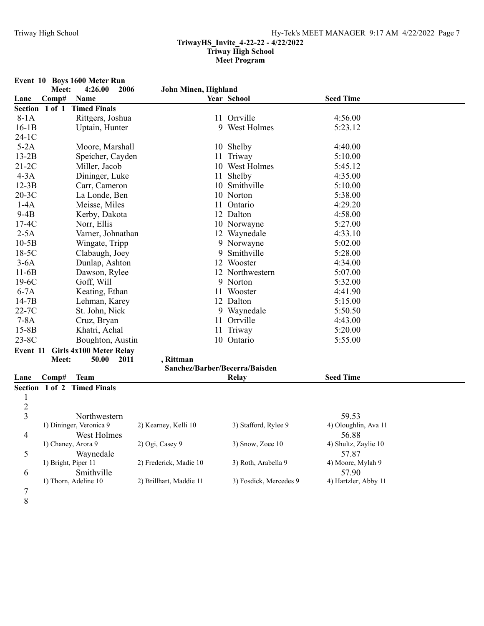|                | Meet:               | Event 10 Boys 1600 Meter Run<br>4:26.00<br>2006 | John Minen, Highland    |   |                                |                            |  |
|----------------|---------------------|-------------------------------------------------|-------------------------|---|--------------------------------|----------------------------|--|
| Lane           | Comp#               | <b>Name</b>                                     |                         |   | Year School                    | <b>Seed Time</b>           |  |
|                | Section 1 of 1      | <b>Timed Finals</b>                             |                         |   |                                |                            |  |
| $8-1A$         |                     | Rittgers, Joshua                                |                         |   | 11 Orrville                    | 4:56.00                    |  |
| $16-1B$        |                     | Uptain, Hunter                                  |                         |   | 9 West Holmes                  | 5:23.12                    |  |
| $24-1C$        |                     |                                                 |                         |   |                                |                            |  |
| $5-2A$         |                     | Moore, Marshall                                 |                         |   | 10 Shelby                      | 4:40.00                    |  |
| $13-2B$        |                     | Speicher, Cayden                                |                         |   | 11 Triway                      | 5:10.00                    |  |
| $21-2C$        |                     | Miller, Jacob                                   |                         |   | 10 West Holmes                 | 5:45.12                    |  |
| $4-3A$         |                     | Dininger, Luke                                  |                         |   | 11 Shelby                      | 4:35.00                    |  |
| $12-3B$        |                     | Carr, Cameron                                   |                         |   | 10 Smithville                  | 5:10.00                    |  |
| $20-3C$        |                     | La Londe, Ben                                   |                         |   | 10 Norton                      | 5:38.00                    |  |
| $1-4A$         |                     | Meisse, Miles                                   |                         |   | 11 Ontario                     | 4:29.20                    |  |
| $9-4B$         |                     | Kerby, Dakota                                   |                         |   | 12 Dalton                      | 4:58.00                    |  |
| $17-4C$        |                     | Norr, Ellis                                     |                         |   | 10 Norwayne                    | 5:27.00                    |  |
| $2-5A$         |                     | Varner, Johnathan                               |                         |   | 12 Waynedale                   | 4:33.10                    |  |
| $10-5B$        |                     | Wingate, Tripp                                  |                         |   | 9 Norwayne                     | 5:02.00                    |  |
| $18-5C$        |                     | Clabaugh, Joey                                  |                         | 9 | Smithville                     | 5:28.00                    |  |
| $3-6A$         |                     | Dunlap, Ashton                                  |                         |   | 12 Wooster                     | 4:34.00                    |  |
| $11-6B$        |                     | Dawson, Rylee                                   |                         |   | 12 Northwestern                | 5:07.00                    |  |
| $19-6C$        |                     | Goff, Will                                      |                         |   | 9 Norton                       | 5:32.00                    |  |
| $6-7A$         |                     | Keating, Ethan                                  |                         |   | 11 Wooster                     | 4:41.90                    |  |
| $14-7B$        |                     | Lehman, Karey                                   |                         |   | 12 Dalton                      | 5:15.00                    |  |
| $22-7C$        |                     | St. John, Nick                                  |                         |   | 9 Waynedale                    | 5:50.50                    |  |
| $7-8A$         |                     | Cruz, Bryan                                     |                         |   | 11 Orrville                    | 4:43.00                    |  |
| $15-8B$        |                     | Khatri, Achal                                   |                         |   | 11 Triway                      | 5:20.00                    |  |
| $23-8C$        |                     | Boughton, Austin                                |                         |   | 10 Ontario                     | 5:55.00                    |  |
| Event 11       |                     | <b>Girls 4x100 Meter Relay</b>                  |                         |   |                                |                            |  |
|                | Meet:               | 2011<br>50.00                                   | , Rittman               |   |                                |                            |  |
|                |                     |                                                 |                         |   | Sanchez/Barber/Becerra/Baisden |                            |  |
| Lane           | Comp#               | <b>Team</b>                                     |                         |   | <b>Relay</b>                   | <b>Seed Time</b>           |  |
|                |                     | Section 1 of 2 Timed Finals                     |                         |   |                                |                            |  |
| 1              |                     |                                                 |                         |   |                                |                            |  |
| $\overline{c}$ |                     |                                                 |                         |   |                                |                            |  |
| $\overline{3}$ |                     | Northwestern                                    |                         |   |                                | 59.53                      |  |
|                |                     | 1) Dininger, Veronica 9                         | 2) Kearney, Kelli 10    |   | 3) Stafford, Rylee 9           | 4) Oloughlin, Ava 11       |  |
| 4              |                     | West Holmes                                     |                         |   |                                | 56.88                      |  |
|                |                     | 1) Chaney, Arora 9                              | 2) Ogi, Casey 9         |   | 3) Snow, Zoee 10               | 4) Shultz, Zaylie 10       |  |
| 5              |                     | Waynedale                                       | 2) Frederick, Madie 10  |   | 3) Roth, Arabella 9            | 57.87                      |  |
|                | 1) Bright, Piper 11 |                                                 |                         |   |                                | 4) Moore, Mylah 9<br>57.90 |  |
| 6              |                     | Smithville                                      |                         |   |                                |                            |  |
|                |                     | 1) Thorn, Adeline 10                            | 2) Brillhart, Maddie 11 |   | 3) Fosdick, Mercedes 9         | 4) Hartzler, Abby 11       |  |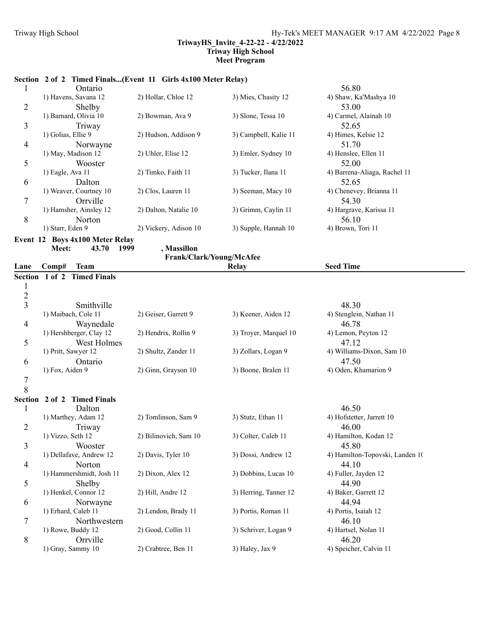# **Section 2 of 2 Timed Finals...(Event 11 Girls 4x100 Meter Relay)**

|   | Ontario                                      |                       |                       | 56.80                        |
|---|----------------------------------------------|-----------------------|-----------------------|------------------------------|
|   | 1) Havens, Savana 12                         | 2) Hollar, Chloe 12   | 3) Mies, Chasity 12   | 4) Shaw, Ka'Mashya 10        |
| 2 | Shelby                                       |                       |                       | 53.00                        |
|   | 1) Barnard, Olivia 10                        | 2) Bowman, Ava 9      | 3) Slone, Tessa 10    | 4) Carmel, Alainah 10        |
| 3 | Triway                                       |                       |                       | 52.65                        |
|   | 1) Golias, Ellie 9                           | 2) Hudson, Addison 9  | 3) Campbell, Kalie 11 | 4) Himes, Kelsie 12          |
| 4 | Norwayne                                     |                       |                       | 51.70                        |
|   | 1) May, Madison 12                           | 2) Uhler, Elise 12    | 3) Emler, Sydney 10   | 4) Henslee, Ellen 11         |
| 5 | Wooster                                      |                       |                       | 52.00                        |
|   | $1)$ Eagle, Ava $11$                         | 2) Timko, Faith 11    | 3) Tucker, Ilana 11   | 4) Barrena-Aliaga, Rachel 11 |
| 6 | Dalton                                       |                       |                       | 52.65                        |
|   | 1) Weaver, Courtney 10                       | 2) Clos, Lauren 11    | 3) Seeman, Macy 10    | 4) Chenevey, Brianna 11      |
| 7 | Orrville                                     |                       |                       | 54.30                        |
|   | 1) Hamsher, Ainsley 12                       | 2) Dalton, Natalie 10 | 3) Grimm, Caylin 11   | 4) Hargrave, Karissa 11      |
| 8 | Norton                                       |                       |                       | 56.10                        |
|   | 1) Starr, Eden 9                             | 2) Vickery, Adison 10 | 3) Supple, Hannah 10  | 4) Brown, Tori 11            |
|   | $T_{\text{exact}}$ 12 Dece 4-100 Meter Delay |                       |                       |                              |

**Event 12 Boys 4x100 Meter Relay** Meet: 43.70 1999 , Massillon

**Frank/Clark/Young/McAfee**

| Lane           | Comp#<br><b>Team</b>     |                       | Relay                 | <b>Seed Time</b>                |
|----------------|--------------------------|-----------------------|-----------------------|---------------------------------|
| <b>Section</b> | 1 of 2 Timed Finals      |                       |                       |                                 |
| $\mathbf{1}$   |                          |                       |                       |                                 |
| $\overline{c}$ |                          |                       |                       |                                 |
| $\overline{3}$ | Smithville               |                       |                       | 48.30                           |
|                | 1) Maibach, Cole 11      | 2) Geiser, Garrett 9  | 3) Keener, Aiden 12   | 4) Stenglein, Nathan 11         |
| $\overline{4}$ | Waynedale                |                       |                       | 46.78                           |
|                | 1) Hershberger, Clay 12  | 2) Hendrix, Rollin 9  | 3) Troyer, Marquel 10 | 4) Lemon, Peyton 12             |
| 5              | West Holmes              |                       |                       | 47.12                           |
|                | 1) Pritt, Sawyer 12      | 2) Shultz, Zander 11  | 3) Zollars, Logan 9   | 4) Williams-Dixon, Sam 10       |
| 6              | Ontario                  |                       |                       | 47.50                           |
|                | 1) Fox, Aiden 9          | 2) Ginn, Grayson 10   | 3) Boone, Bralen 11   | 4) Oden, Khamarion 9            |
| $\overline{7}$ |                          |                       |                       |                                 |
| 8              |                          |                       |                       |                                 |
| <b>Section</b> | 2 of 2 Timed Finals      |                       |                       |                                 |
| 1              | Dalton                   |                       |                       | 46.50                           |
|                | 1) Marthey, Adam 12      | 2) Tomlinson, Sam 9   | 3) Stutz, Ethan 11    | 4) Hofstetter, Jarrett 10       |
| $\overline{2}$ | Triway                   |                       |                       | 46.00                           |
|                | 1) Vizzo, Seth 12        | 2) Bilinovich, Sam 10 | 3) Colter, Caleb 11   | 4) Hamilton, Kodan 12           |
| 3              | Wooster                  |                       |                       | 45.80                           |
|                | 1) Dellafave, Andrew 12  | 2) Davis, Tyler 10    | 3) Dossi, Andrew 12   | 4) Hamilton-Topovski, Landen 10 |
| $\overline{4}$ | Norton                   |                       |                       | 44.10                           |
|                | 1) Hammershmidt, Josh 11 | 2) Dixon, Alex 12     | 3) Dobbins, Lucas 10  | 4) Fuller, Jayden 12            |
| 5              | Shelby                   |                       |                       | 44.90                           |
|                | 1) Henkel, Connor 12     | 2) Hill, Andre 12     | 3) Herring, Tanner 12 | 4) Baker, Garrett 12            |
| 6              | Norwayne                 |                       |                       | 44.94                           |
|                | 1) Erhard, Caleb 11      | 2) Lendon, Brady 11   | 3) Portis, Roman 11   | 4) Portis, Isaiah 12            |
| 7              | Northwestern             |                       |                       | 46.10                           |
|                | 1) Rowe, Buddy 12        | 2) Good, Collin 11    | 3) Schriver, Logan 9  | 4) Hartsel, Nolan 11            |
| 8              | Orrville                 |                       |                       | 46.20                           |
|                | 1) Gray, Sammy 10        | 2) Crabtree, Ben 11   | 3) Haley, Jax 9       | 4) Speicher, Calvin 11          |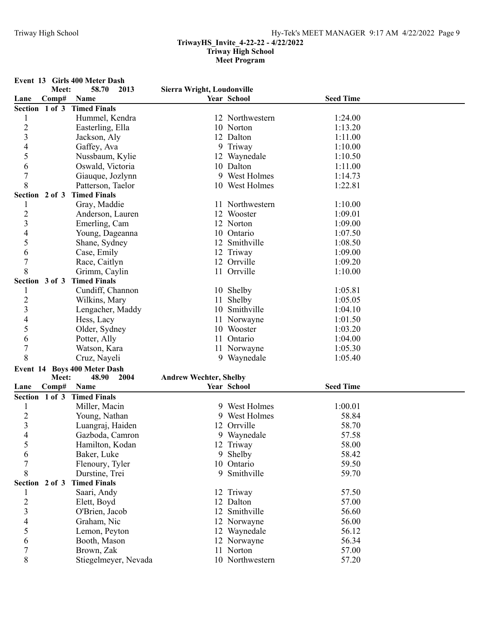**Event 13 Girls 400 Meter Dash Meet: 58.70 Sierra Wright, Loudonville 2013 Lane Comp# Name Year School Seed Time Section 1 of 3 Timed Finals** 1 Hummel, Kendra 12 Northwestern 1:24.00<br>2 Easterling. Ella 10 Norton 1:13.20 Easterling, Ella 1:13.20 3 Jackson, Aly 12 Dalton 1:11.00 4 Gaffey, Ava 9 Triway 1:10.00 5 Nussbaum, Kylie 12 Waynedale 1:10.50 6 Oswald, Victoria 10 Dalton 1:11.00<br>
7 Giaugue Jozlynn 9 West Holmes 1:14.73 7 Giauque, Jozlynn 9 West Holmes 1:14.73 8 Patterson, Taelor 10 West Holmes 1:22.81 **Section 2 of 3 Timed Finals** 1 Gray, Maddie 11 Northwestern 1:10.00 2 Anderson, Lauren 12 Wooster 1:09.01 3 Emerling, Cam 12 Norton 1:09.00<br>4 Young Dageanna 10 Ontario 1:07.50 4 Young, Dageanna 10 Ontario 1:07.50 5 Shane, Sydney 12 Smithville 1:08.50 6 Case, Emily 12 Triway 1:09.00 7 Race, Caitlyn 12 Orrville 1:09.20 8 Grimm, Caylin 11 Orrville 1:10.00 **Section 3 of 3 Timed Finals** 1 Cundiff, Channon 10 Shelby 1:05.81<br>2 Wilkins. Mary 11 Shelby 1:05.05 Wilkins, Mary 1:05.05 3 Lengacher, Maddy 10 Smithville 1:04.10 4 Hess, Lacy 11 Norwayne 1:01.50 5 Older, Sydney 10 Wooster 1:03.20 6 Potter, Ally 11 Ontario 1:04.00 7 Watson, Kara 11 Norwayne 1:05.30 8 Cruz, Nayeli 9 Waynedale 1:05.40 **Event 14 Boys 400 Meter Dash** Meet: 48.90 2004 Andrew Wechter, Shelby **Lane Comp# Name Year School Seed Time Section 1 of 3 Timed Finals** 1 Miller, Macin 9 West Holmes 1:00.01 2 Young, Nathan 9 West Holmes 58.84<br>3 Luangraj, Haiden 12 Orrville 58.70 3 Luangraj, Haiden 12 Orrville 58.70<br>4 Gazboda, Camron 9 Wavnedale 57.58 4 Gazboda, Camron 9 Waynedale 57.58<br>5 Hamilton, Kodan 12 Triway 58.00 5 Hamilton, Kodan 12 Triway 58.00 6 Baker, Luke 9 Shelby 58.42 7 Flenoury, Tyler 10 Ontario 59.50 8 Durstine, Trei 9 Smithville 59.70 **Section 2 of 3 Timed Finals** 1 Saari, Andy 12 Triway 57.50 2 Elett, Boyd 12 Dalton 57.00 3 O'Brien, Jacob 12 Smithville 56.60 4 Graham, Nic 12 Norwayne 56.00<br>5 Lemon, Peyton 12 Waynedale 56.12 5 Lemon, Peyton 12 Waynedale 56.12<br>6 Booth, Mason 12 Norwayne 56.34 6 Booth, Mason 12 Norwayne 56.34 7 Brown, Zak 11 Norton 57.00 8 Stiegelmeyer, Nevada 10 Northwestern 57.20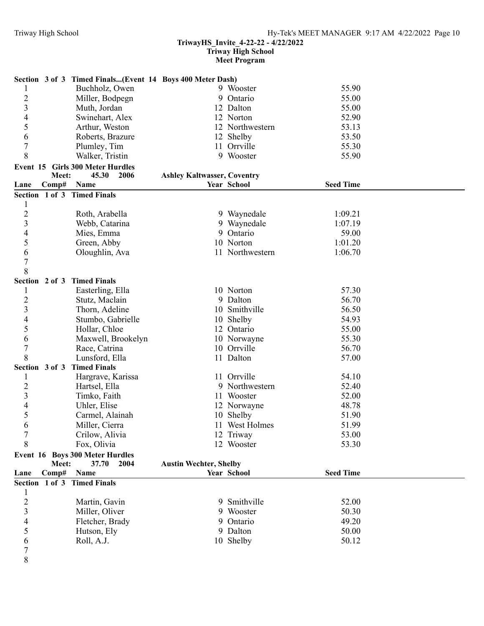Section 3 of 3 Timed Finals...(Event

# **TriwayHS\_Invite\_4-22-22 - 4/22/2022**

**Triway High School**

|                                                         | <b>Meet Program</b> |       |  |
|---------------------------------------------------------|---------------------|-------|--|
| ttion 3 of 3 Timed Finals(Event 14 Boys 400 Meter Dash) |                     |       |  |
| Buchholz, Owen                                          | 9 Wooster           | 55.90 |  |
| Miller, Bodpegn                                         | 9 Ontario           | 55.00 |  |
| $M_{\rm tot}$ $I_{\rm out}$                             | $12 \text{ D}$      | 5500  |  |

|                  |                | Miller, Bodpegn                         |                                    | 9 Ontario       | 55.00            |  |
|------------------|----------------|-----------------------------------------|------------------------------------|-----------------|------------------|--|
| $\frac{2}{3}$    |                | Muth, Jordan                            |                                    | 12 Dalton       | 55.00            |  |
| 4                |                | Swinehart, Alex                         |                                    | 12 Norton       | 52.90            |  |
| 5                |                | Arthur, Weston                          |                                    | 12 Northwestern | 53.13            |  |
| 6                |                | Roberts, Brazure                        |                                    | 12 Shelby       | 53.50            |  |
| $\boldsymbol{7}$ |                | Plumley, Tim                            |                                    | 11 Orrville     | 55.30            |  |
| 8                |                | Walker, Tristin                         |                                    | 9 Wooster       | 55.90            |  |
|                  |                | <b>Event 15 Girls 300 Meter Hurdles</b> |                                    |                 |                  |  |
|                  | Meet:          | 45.30<br>2006                           | <b>Ashley Kaltwasser, Coventry</b> |                 |                  |  |
| Lane             | Comp#          | Name                                    |                                    | Year School     | <b>Seed Time</b> |  |
|                  |                | Section 1 of 3 Timed Finals             |                                    |                 |                  |  |
| $\mathbf{1}$     |                |                                         |                                    |                 |                  |  |
| $\overline{c}$   |                | Roth, Arabella                          |                                    | 9 Waynedale     | 1:09.21          |  |
| 3                |                | Webb, Catarina                          |                                    | 9 Waynedale     | 1:07.19          |  |
| $\overline{4}$   |                |                                         |                                    | 9 Ontario       | 59.00            |  |
|                  |                | Mies, Emma                              |                                    |                 |                  |  |
| 5                |                | Green, Abby                             |                                    | 10 Norton       | 1:01.20          |  |
| 6                |                | Oloughlin, Ava                          |                                    | 11 Northwestern | 1:06.70          |  |
| $\overline{7}$   |                |                                         |                                    |                 |                  |  |
| 8                |                |                                         |                                    |                 |                  |  |
|                  |                | Section 2 of 3 Timed Finals             |                                    |                 |                  |  |
| 1                |                | Easterling, Ella                        |                                    | 10 Norton       | 57.30            |  |
| $\overline{c}$   |                | Stutz, Maclain                          |                                    | 9 Dalton        | 56.70            |  |
| 3                |                | Thorn, Adeline                          |                                    | 10 Smithville   | 56.50            |  |
| 4                |                | Stumbo, Gabrielle                       |                                    | 10 Shelby       | 54.93            |  |
| 5                |                | Hollar, Chloe                           |                                    | 12 Ontario      | 55.00            |  |
| 6                |                | Maxwell, Brookelyn                      |                                    | 10 Norwayne     | 55.30            |  |
| $\overline{7}$   |                | Race, Catrina                           |                                    | 10 Orrville     | 56.70            |  |
| 8                |                | Lunsford, Ella                          |                                    | 11 Dalton       | 57.00            |  |
|                  | Section 3 of 3 | <b>Timed Finals</b>                     |                                    |                 |                  |  |
| 1                |                | Hargrave, Karissa                       |                                    | 11 Orrville     | 54.10            |  |
| $\overline{c}$   |                | Hartsel, Ella                           |                                    | 9 Northwestern  | 52.40            |  |
| $\overline{3}$   |                | Timko, Faith                            |                                    | 11 Wooster      | 52.00            |  |
| $\overline{4}$   |                | Uhler, Elise                            |                                    | 12 Norwayne     | 48.78            |  |
| 5                |                | Carmel, Alainah                         |                                    | 10 Shelby       | 51.90            |  |
| 6                |                | Miller, Cierra                          |                                    | 11 West Holmes  | 51.99            |  |
| $\overline{7}$   |                | Crilow, Alivia                          |                                    | 12 Triway       | 53.00            |  |
| 8                |                | Fox, Olivia                             |                                    | 12 Wooster      | 53.30            |  |
|                  |                |                                         |                                    |                 |                  |  |
|                  |                | Event 16 Boys 300 Meter Hurdles         |                                    |                 |                  |  |
|                  | Meet:<br>Comp# | 37.70<br>2004<br>Name                   | <b>Austin Wechter, Shelby</b>      | Year School     | <b>Seed Time</b> |  |
| Lane             |                |                                         |                                    |                 |                  |  |
|                  |                | Section 1 of 3 Timed Finals             |                                    |                 |                  |  |
| 1                |                |                                         |                                    |                 | 52.00            |  |
| $\overline{c}$   |                | Martin, Gavin                           |                                    | 9 Smithville    |                  |  |
| 3                |                | Miller, Oliver                          |                                    | 9 Wooster       | 50.30            |  |
| 4                |                | Fletcher, Brady                         |                                    | 9 Ontario       | 49.20            |  |
| 5                |                | Hutson, Ely                             |                                    | 9 Dalton        | 50.00            |  |
| 6                |                | Roll, A.J.                              |                                    | 10 Shelby       | 50.12            |  |
| 7                |                |                                         |                                    |                 |                  |  |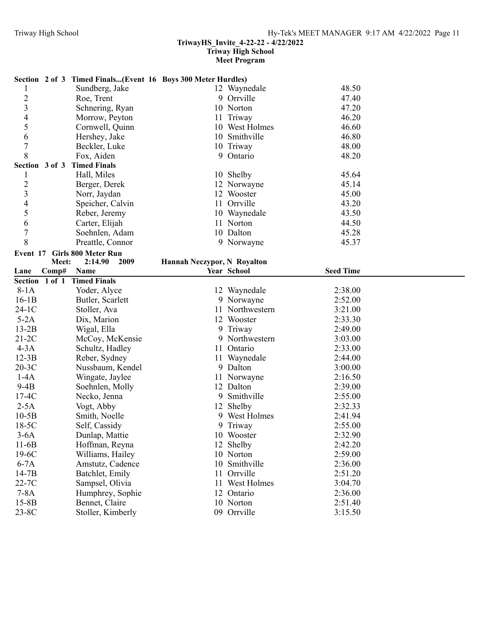#### **TriwayHS\_Invite\_4-22-22 - 4/22/2022**

**Triway High School**

# **Meet Program**

|                          |                | Section 2 of 3 Timed Finals(Event 16 Boys 300 Meter Hurdles) |                             |                          |                    |  |
|--------------------------|----------------|--------------------------------------------------------------|-----------------------------|--------------------------|--------------------|--|
| 1                        |                | Sundberg, Jake                                               |                             | 12 Waynedale             | 48.50              |  |
| $\overline{c}$           |                | Roe, Trent                                                   |                             | 9 Orrville               | 47.40              |  |
| 3                        |                | Schnering, Ryan                                              |                             | 10 Norton                | 47.20              |  |
| $\overline{4}$           |                | Morrow, Peyton                                               | 11                          | Triway                   | 46.20              |  |
| 5                        |                | Cornwell, Quinn                                              |                             | 10 West Holmes           | 46.60              |  |
| 6                        |                | Hershey, Jake                                                |                             | 10 Smithville            | 46.80              |  |
| 7                        |                | Beckler, Luke                                                |                             | 10 Triway                | 48.00              |  |
| 8                        |                | Fox, Aiden                                                   |                             | 9 Ontario                | 48.20              |  |
|                          | Section 3 of 3 | <b>Timed Finals</b>                                          |                             |                          |                    |  |
| 1                        |                | Hall, Miles                                                  |                             | 10 Shelby                | 45.64              |  |
| $\overline{\mathbf{c}}$  |                | Berger, Derek                                                |                             | 12 Norwayne              | 45.14              |  |
| 3                        |                | Norr, Jaydan                                                 |                             | 12 Wooster               | 45.00              |  |
| $\overline{\mathcal{L}}$ |                | Speicher, Calvin                                             |                             | 11 Orrville              | 43.20              |  |
| 5                        |                | Reber, Jeremy                                                |                             | 10 Waynedale             | 43.50              |  |
| 6                        |                | Carter, Elijah                                               |                             | 11 Norton                | 44.50              |  |
| $\overline{7}$           |                | Soehnlen, Adam                                               |                             | 10 Dalton                | 45.28              |  |
| 8                        |                | Preattle, Connor                                             |                             | 9 Norwayne               | 45.37              |  |
| Event 17                 |                | <b>Girls 800 Meter Run</b>                                   |                             |                          |                    |  |
|                          | Meet:          | 2009<br>2:14.90                                              | Hannah Neczypor, N Royalton |                          |                    |  |
| Lane                     | Comp#          | Name                                                         |                             | Year School              | <b>Seed Time</b>   |  |
|                          |                | Section 1 of 1 Timed Finals                                  |                             |                          |                    |  |
| $8-1A$                   |                | Yoder, Alyce                                                 |                             | 12 Waynedale             | 2:38.00            |  |
|                          |                |                                                              |                             |                          |                    |  |
| $16-1B$                  |                | Butler, Scarlett                                             |                             | 9 Norwayne               | 2:52.00            |  |
| $24-1C$                  |                | Stoller, Ava                                                 | 11                          | Northwestern             | 3:21.00            |  |
| $5-2A$                   |                | Dix, Marion                                                  |                             | 12 Wooster               | 2:33.30            |  |
| $13-2B$                  |                | Wigal, Ella                                                  | 9                           | Triway                   | 2:49.00            |  |
| $21-2C$                  |                | McCoy, McKensie                                              | 9                           | Northwestern             | 3:03.00            |  |
| $4-3A$                   |                | Schultz, Hadley                                              | 11                          | Ontario                  | 2:33.00            |  |
| $12-3B$                  |                | Reber, Sydney                                                | 11                          | Waynedale                | 2:44.00            |  |
| $20-3C$                  |                | Nussbaum, Kendel                                             |                             | 9 Dalton                 | 3:00.00            |  |
| $1-4A$                   |                | Wingate, Jaylee                                              |                             | 11 Norwayne              | 2:16.50            |  |
| $9-4B$                   |                | Soehnlen, Molly                                              |                             | 12 Dalton                | 2:39.00            |  |
| $17-4C$                  |                | Necko, Jenna                                                 | 9                           | Smithville               | 2:55.00            |  |
| $2-5A$                   |                | Vogt, Abby                                                   |                             | 12 Shelby                | 2:32.33            |  |
| $10-5B$                  |                | Smith, Noelle                                                |                             | 9 West Holmes            | 2:41.94            |  |
| $18-5C$                  |                | Self, Cassidy                                                |                             | 9 Triway                 | 2:55.00            |  |
| $3-6A$                   |                | Dunlap, Mattie                                               |                             | 10 Wooster               | 2:32.90            |  |
| $11-6B$                  |                | Hoffman, Reyna                                               |                             | 12 Shelby                | 2:42.20            |  |
| $19-6C$                  |                | Williams, Hailey                                             |                             | 10 Norton                | 2:59.00            |  |
| $6-7A$                   |                | Amstutz, Cadence                                             |                             | 10 Smithville            | 2:36.00            |  |
| $14-7B$                  |                | Batchlet, Emily                                              |                             | 11 Orrville              | 2:51.20            |  |
| 22-7C                    |                | Sampsel, Olivia                                              |                             | 11 West Holmes           | 3:04.70            |  |
| $7-8A$                   |                | Humphrey, Sophie                                             |                             | 12 Ontario               | 2:36.00            |  |
| $15-8B$<br>23-8C         |                | Bennet, Claire<br>Stoller, Kimberly                          |                             | 10 Norton<br>09 Orrville | 2:51.40<br>3:15.50 |  |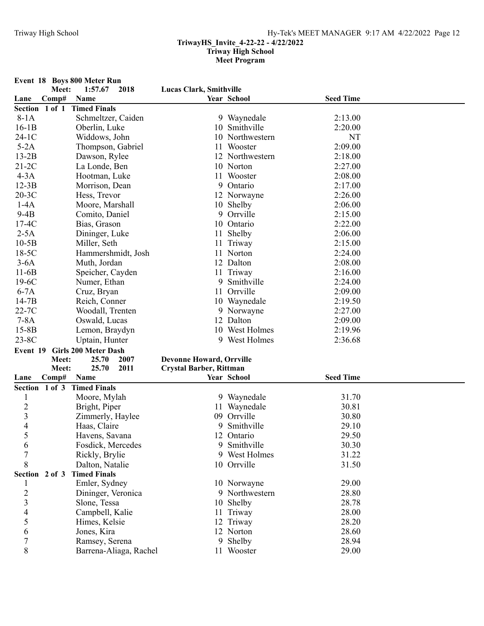**Event 18 Boys 800 Meter Run Meet: 1:57.67 Lucas Clark, Smithville 2018 Lane Comp# Name Year School Seed Time Section 1 of 1 Timed Finals** 8-1A Schmeltzer, Caiden 9 Waynedale 2:13.00 16-1B Oberlin, Luke 10 Smithville 2:20.00 24-1C Widdows, John 10 Northwestern NT 5-2A Thompson, Gabriel 11 Wooster 2:09.00 13-2B Dawson, Rylee 12 Northwestern 2:18.00 21-2C La Londe, Ben 10 Norton 2:27.00<br>
4-3A Hootman Luke 11 Wooster 2:08.00 4-3A Hootman, Luke 11 Wooster 2:08.00 12-3B Morrison, Dean 9 Ontario 2:17.00 20-3C Hess, Trevor 12 Norwayne 2:26.00 1-4A Moore, Marshall 10 Shelby 2:06.00<br>
9-4B Comito, Daniel 9 Orrville 2:15.00 9-4B Comito, Daniel 9 Orrville 2:15.00 17-4C Bias, Grason 10 Ontario 2:22.00 2-5A Dininger, Luke 11 Shelby 2:06.00 10-5B Miller, Seth 11 Triway 2:15.00 18-5C Hammershmidt, Josh 11 Norton 2:24.00<br>
3-6A Muth. Jordan 12 Dalton 2:08.00 3-6A Muth, Jordan 12 Dalton 2:08.00 11-6B Speicher, Cayden 11 Triway 2:16.00 19-6C Numer, Ethan 9 Smithville 2:24.00 6-7A Cruz, Bryan 11 Orrville 2:09.00 14-7B Reich, Conner 10 Waynedale 2:19.50 22-7C Woodall, Trenten 9 Norwayne 2:27.00 7-8A Oswald, Lucas 12 Dalton 2:09.00 15-8B Lemon, Braydyn 10 West Holmes 2:19.96 23-8C Uptain, Hunter 9 West Holmes 2:36.68 **Event 19 Girls 200 Meter Dash Meet: 25.70 Devonne Howard, Orrville 2007 Meet:** 25.70 2011 **Crystal Barber, Rittman Lane Comp# Name Year School Seed Time Section 1 of 3 Timed Finals** 1 Moore, Mylah 9 Waynedale 31.70<br>
2 Bright, Piper 11 Waynedale 30.81 2 Bright, Piper 11 Waynedale 30.81 3 2immerly, Haylee 09 Orrville 30.80<br>4 Haas. Claire 9 Smithville 29.10 4 Haas, Claire 9 Smithville 29.10 5 Havens, Savana 12 Ontario 29.50 6 Fosdick, Mercedes 9 Smithville 30.30 7 Rickly, Brylie 9 West Holmes 31.22 8 Dalton, Natalie 10 Orrville 31.50 **Section 2 of 3 Timed Finals** 1 Emler, Sydney 10 Norwayne 29.00<br>2 Dininger, Veronica 9 Northwestern 28.80 2 Dininger, Veronica 9 Northwestern 28.80 3 Slone, Tessa 10 Shelby 28.78 4 Campbell, Kalie 11 Triway 28.00<br>5 Himes, Kelsie 12 Triway 28.20 5 Himes, Kelsie 12 Triway 28.20<br>6 Jones, Kira 12 Norton 28.60 6 Jones, Kira 12 Norton 28.60 7 Ramsey, Serena 9 Shelby 28.94 8 Barrena-Aliaga, Rachel 11 Wooster 29.00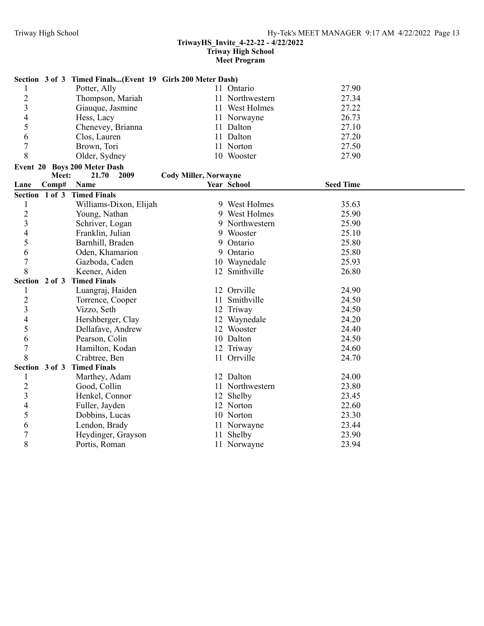#### **TriwayHS\_Invite\_4-22-22 - 4/22/2022 Triway High School**

# **Meet Program**

|                |       | Section 3 of 3 Timed Finals(Event 19 Girls 200 Meter Dash) |                              |                 |                  |
|----------------|-------|------------------------------------------------------------|------------------------------|-----------------|------------------|
|                |       | Potter, Ally                                               |                              | 11 Ontario      | 27.90            |
| $\overline{c}$ |       | Thompson, Mariah                                           |                              | 11 Northwestern | 27.34            |
| $\overline{3}$ |       | Giauque, Jasmine                                           |                              | 11 West Holmes  | 27.22            |
| 4              |       | Hess, Lacy                                                 |                              | 11 Norwayne     | 26.73            |
| 5              |       | Chenevey, Brianna                                          |                              | 11 Dalton       | 27.10            |
| 6              |       | Clos, Lauren                                               |                              | 11 Dalton       | 27.20            |
| $\overline{7}$ |       | Brown, Tori                                                |                              | 11 Norton       | 27.50            |
| 8              |       | Older, Sydney                                              |                              | 10 Wooster      | 27.90            |
|                |       | Event 20 Boys 200 Meter Dash                               |                              |                 |                  |
|                | Meet: | 21.70<br>2009                                              | <b>Cody Miller, Norwayne</b> |                 |                  |
| Lane           | Comp# | Name                                                       |                              | Year School     | <b>Seed Time</b> |
|                |       | Section 1 of 3 Timed Finals                                |                              |                 |                  |
| 1              |       | Williams-Dixon, Elijah                                     |                              | 9 West Holmes   | 35.63            |
| $\overline{c}$ |       | Young, Nathan                                              |                              | 9 West Holmes   | 25.90            |
| $\overline{3}$ |       | Schriver, Logan                                            |                              | 9 Northwestern  | 25.90            |
| $\overline{4}$ |       | Franklin, Julian                                           |                              | 9 Wooster       | 25.10            |
| 5              |       | Barnhill, Braden                                           |                              | 9 Ontario       | 25.80            |
| 6              |       | Oden, Khamarion                                            |                              | 9 Ontario       | 25.80            |
| $\overline{7}$ |       | Gazboda, Caden                                             |                              | 10 Waynedale    | 25.93            |
| 8              |       | Keener, Aiden                                              |                              | 12 Smithville   | 26.80            |
|                |       | Section 2 of 3 Timed Finals                                |                              |                 |                  |
| $\mathbf{1}$   |       | Luangraj, Haiden                                           |                              | 12 Orrville     | 24.90            |
| $\sqrt{2}$     |       | Torrence, Cooper                                           |                              | 11 Smithville   | 24.50            |
| $\overline{3}$ |       | Vizzo, Seth                                                |                              | 12 Triway       | 24.50            |
| $\overline{4}$ |       | Hershberger, Clay                                          |                              | 12 Waynedale    | 24.20            |
| 5              |       | Dellafave, Andrew                                          |                              | 12 Wooster      | 24.40            |
| 6              |       | Pearson, Colin                                             |                              | 10 Dalton       | 24.50            |
| $\overline{7}$ |       | Hamilton, Kodan                                            |                              | 12 Triway       | 24.60            |
| 8              |       | Crabtree, Ben                                              |                              | 11 Orrville     | 24.70            |
|                |       | Section 3 of 3 Timed Finals                                |                              |                 |                  |
| 1              |       | Marthey, Adam                                              |                              | 12 Dalton       | 24.00            |
| $\overline{2}$ |       | Good, Collin                                               |                              | 11 Northwestern | 23.80            |
| $\overline{3}$ |       | Henkel, Connor                                             |                              | 12 Shelby       | 23.45            |
| $\overline{4}$ |       | Fuller, Jayden                                             |                              | 12 Norton       | 22.60            |
| 5              |       | Dobbins, Lucas                                             |                              | 10 Norton       | 23.30            |
| 6              |       | Lendon, Brady                                              |                              | 11 Norwayne     | 23.44            |
| $\overline{7}$ |       | Heydinger, Grayson                                         |                              | 11 Shelby       | 23.90            |
| 8              |       | Portis, Roman                                              |                              | 11 Norwayne     | 23.94            |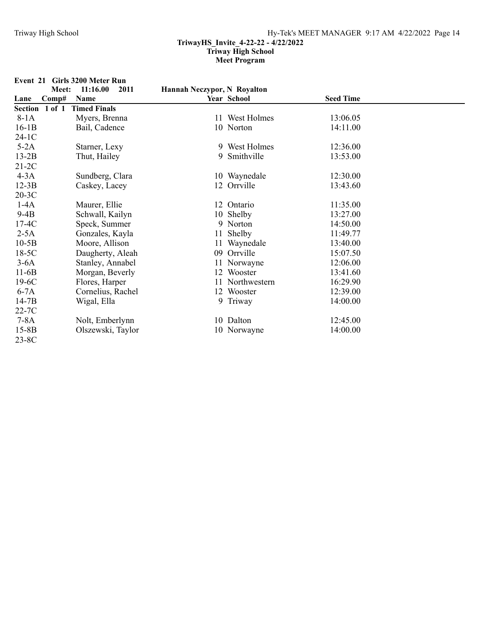| Event 21 | <b>Girls 3200 Meter Run</b>           |                             |                 |                  |  |
|----------|---------------------------------------|-----------------------------|-----------------|------------------|--|
|          | 11:16.00<br>Meet:<br>2011             | Hannah Neczypor, N Royalton |                 |                  |  |
| Lane     | Comp#<br>Name                         |                             | Year School     | <b>Seed Time</b> |  |
|          | <b>Timed Finals</b><br>Section 1 of 1 |                             |                 |                  |  |
| $8-1A$   | Myers, Brenna                         |                             | 11 West Holmes  | 13:06.05         |  |
| $16-1B$  | Bail, Cadence                         |                             | 10 Norton       | 14:11.00         |  |
| $24-1C$  |                                       |                             |                 |                  |  |
| $5-2A$   | Starner, Lexy                         |                             | 9 West Holmes   | 12:36.00         |  |
| $13-2B$  | Thut, Hailey                          |                             | 9 Smithville    | 13:53.00         |  |
| $21-2C$  |                                       |                             |                 |                  |  |
| $4-3A$   | Sundberg, Clara                       |                             | 10 Waynedale    | 12:30.00         |  |
| $12-3B$  | Caskey, Lacey                         |                             | 12 Orrville     | 13:43.60         |  |
| $20-3C$  |                                       |                             |                 |                  |  |
| $1-4A$   | Maurer, Ellie                         |                             | 12 Ontario      | 11:35.00         |  |
| $9-4B$   | Schwall, Kailyn                       |                             | 10 Shelby       | 13:27.00         |  |
| $17-4C$  | Speck, Summer                         |                             | 9 Norton        | 14:50.00         |  |
| $2-5A$   | Gonzales, Kayla                       |                             | 11 Shelby       | 11:49.77         |  |
| $10-5B$  | Moore, Allison                        |                             | 11 Waynedale    | 13:40.00         |  |
| $18-5C$  | Daugherty, Aleah                      |                             | 09 Orrville     | 15:07.50         |  |
| $3-6A$   | Stanley, Annabel                      |                             | 11 Norwayne     | 12:06.00         |  |
| $11-6B$  | Morgan, Beverly                       |                             | 12 Wooster      | 13:41.60         |  |
| $19-6C$  | Flores, Harper                        |                             | 11 Northwestern | 16:29.90         |  |
| $6-7A$   | Cornelius, Rachel                     |                             | 12 Wooster      | 12:39.00         |  |
| $14-7B$  | Wigal, Ella                           |                             | 9 Triway        | 14:00.00         |  |
| $22-7C$  |                                       |                             |                 |                  |  |
| $7-8A$   | Nolt, Emberlynn                       |                             | 10 Dalton       | 12:45.00         |  |
| $15-8B$  | Olszewski, Taylor                     |                             | 10 Norwayne     | 14:00.00         |  |
| $23-8C$  |                                       |                             |                 |                  |  |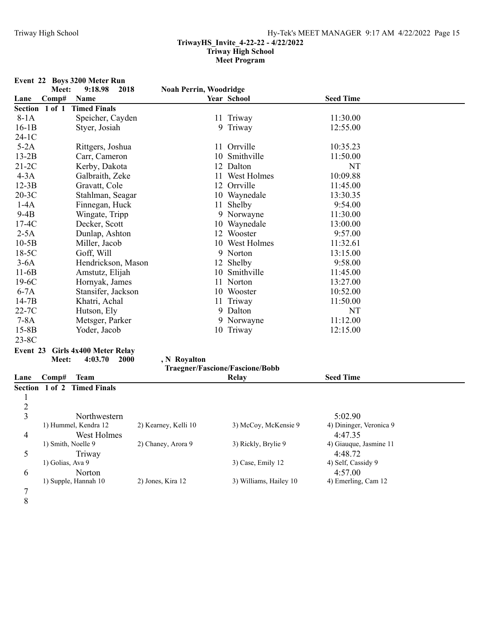|                |                    | Event 22 Boys 3200 Meter Run |                                 |                        |                         |  |
|----------------|--------------------|------------------------------|---------------------------------|------------------------|-------------------------|--|
|                | Meet:              | 9:18.98<br>2018              | <b>Noah Perrin, Woodridge</b>   |                        |                         |  |
| Lane           | Comp#              | Name                         |                                 | Year School            | <b>Seed Time</b>        |  |
| Section 1 of 1 |                    | <b>Timed Finals</b>          |                                 |                        |                         |  |
| $8-1A$         |                    | Speicher, Cayden             |                                 | 11 Triway              | 11:30.00                |  |
| $16-1B$        |                    | Styer, Josiah                |                                 | 9 Triway               | 12:55.00                |  |
| $24-1C$        |                    |                              |                                 |                        |                         |  |
| $5-2A$         |                    | Rittgers, Joshua             |                                 | 11 Orrville            | 10:35.23                |  |
| $13-2B$        |                    | Carr, Cameron                |                                 | 10 Smithville          | 11:50.00                |  |
| $21-2C$        |                    | Kerby, Dakota                |                                 | 12 Dalton              | NT                      |  |
| $4-3A$         |                    | Galbraith, Zeke              |                                 | 11 West Holmes         | 10:09.88                |  |
| $12-3B$        |                    | Gravatt, Cole                |                                 | 12 Orrville            | 11:45.00                |  |
| $20-3C$        |                    | Stahlman, Seagar             |                                 | 10 Waynedale           | 13:30.35                |  |
| $1-4A$         |                    | Finnegan, Huck               |                                 | 11 Shelby              | 9:54.00                 |  |
| $9-4B$         |                    | Wingate, Tripp               |                                 | 9 Norwayne             | 11:30.00                |  |
| $17-4C$        |                    | Decker, Scott                |                                 | 10 Waynedale           | 13:00.00                |  |
| $2-5A$         |                    | Dunlap, Ashton               |                                 | 12 Wooster             | 9:57.00                 |  |
| $10-5B$        |                    | Miller, Jacob                |                                 | 10 West Holmes         | 11:32.61                |  |
| $18-5C$        |                    | Goff, Will                   |                                 | 9 Norton               | 13:15.00                |  |
| $3-6A$         |                    | Hendrickson, Mason           |                                 | 12 Shelby              | 9:58.00                 |  |
| $11-6B$        |                    | Amstutz, Elijah              |                                 | 10 Smithville          | 11:45.00                |  |
| $19-6C$        |                    | Hornyak, James               |                                 | 11 Norton              | 13:27.00                |  |
| $6-7A$         |                    | Stansifer, Jackson           |                                 | 10 Wooster             | 10:52.00                |  |
| $14-7B$        |                    | Khatri, Achal                |                                 | 11 Triway              | 11:50.00                |  |
| $22-7C$        |                    | Hutson, Ely                  |                                 | 9 Dalton               | NT                      |  |
| $7-8A$         |                    | Metsger, Parker              |                                 | 9 Norwayne             | 11:12.00                |  |
| $15-8B$        |                    | Yoder, Jacob                 |                                 | 10 Triway              | 12:15.00                |  |
| $23-8C$        |                    |                              |                                 |                        |                         |  |
| Event 23       |                    | Girls 4x400 Meter Relay      |                                 |                        |                         |  |
|                | Meet:              | 4:03.70<br><b>2000</b>       | , N Royalton                    |                        |                         |  |
|                |                    |                              | Traegner/Fascione/Fascione/Bobb |                        |                         |  |
| Lane           | Comp#              | <b>Team</b>                  |                                 | <b>Relay</b>           | <b>Seed Time</b>        |  |
|                |                    | Section 1 of 2 Timed Finals  |                                 |                        |                         |  |
| 1              |                    |                              |                                 |                        |                         |  |
| $\overline{c}$ |                    |                              |                                 |                        |                         |  |
| 3              |                    | Northwestern                 |                                 |                        | 5:02.90                 |  |
|                |                    | 1) Hummel, Kendra 12         | 2) Kearney, Kelli 10            | 3) McCoy, McKensie 9   | 4) Dininger, Veronica 9 |  |
| 4              |                    | West Holmes                  |                                 |                        | 4:47.35                 |  |
|                | 1) Smith, Noelle 9 |                              | 2) Chaney, Arora 9              | 3) Rickly, Brylie 9    | 4) Giauque, Jasmine 11  |  |
| 5              |                    | Triway                       |                                 |                        | 4:48.72                 |  |
|                | 1) Golias, Ava 9   |                              |                                 | 3) Case, Emily 12      | 4) Self, Cassidy 9      |  |
| 6              |                    | Norton                       |                                 |                        | 4:57.00                 |  |
|                |                    | 1) Supple, Hannah 10         | 2) Jones, Kira 12               | 3) Williams, Hailey 10 | 4) Emerling, Cam 12     |  |
| 7              |                    |                              |                                 |                        |                         |  |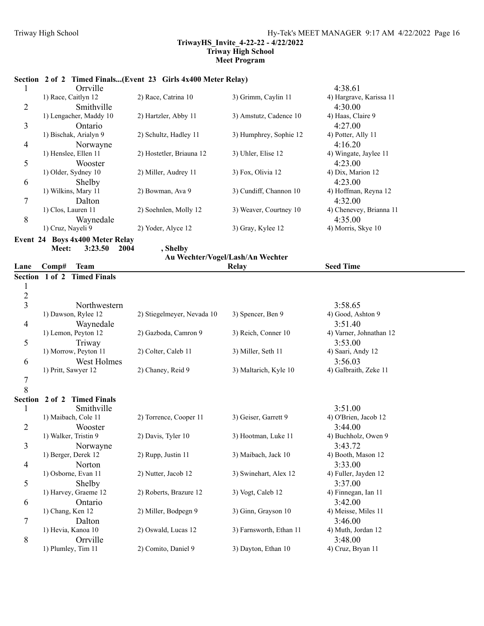# **Section 2 of 2 Timed Finals...(Event 23 Girls 4x400 Meter Relay)**

|   | Orrville                                                                                                                                                                                                                                                                                         |                          |                        | 4:38.61                 |
|---|--------------------------------------------------------------------------------------------------------------------------------------------------------------------------------------------------------------------------------------------------------------------------------------------------|--------------------------|------------------------|-------------------------|
|   | 1) Race, Caitlyn 12                                                                                                                                                                                                                                                                              | 2) Race, Catrina 10      | 3) Grimm, Caylin 11    | 4) Hargrave, Karissa 11 |
| 2 | Smithville                                                                                                                                                                                                                                                                                       |                          |                        | 4:30.00                 |
|   | 1) Lengacher, Maddy 10                                                                                                                                                                                                                                                                           | 2) Hartzler, Abby 11     | 3) Amstutz, Cadence 10 | 4) Haas, Claire 9       |
| 3 | Ontario                                                                                                                                                                                                                                                                                          |                          |                        | 4:27.00                 |
|   | 1) Bischak, Arialyn 9                                                                                                                                                                                                                                                                            | 2) Schultz, Hadley 11    | 3) Humphrey, Sophie 12 | 4) Potter, Ally 11      |
| 4 | Norwayne                                                                                                                                                                                                                                                                                         |                          |                        | 4:16.20                 |
|   | 1) Henslee, Ellen 11                                                                                                                                                                                                                                                                             | 2) Hostetler, Briauna 12 | 3) Uhler, Elise 12     | 4) Wingate, Jaylee 11   |
| 5 | Wooster                                                                                                                                                                                                                                                                                          |                          |                        | 4:23.00                 |
|   | 1) Older, Sydney 10                                                                                                                                                                                                                                                                              | 2) Miller, Audrey 11     | 3) Fox, Olivia 12      | 4) Dix, Marion 12       |
| 6 | Shelby                                                                                                                                                                                                                                                                                           |                          |                        | 4:23.00                 |
|   | 1) Wilkins, Mary 11                                                                                                                                                                                                                                                                              | 2) Bowman, Ava 9         | 3) Cundiff, Channon 10 | 4) Hoffman, Reyna 12    |
| 7 | Dalton                                                                                                                                                                                                                                                                                           |                          |                        | 4:32.00                 |
|   | 1) Clos, Lauren 11                                                                                                                                                                                                                                                                               | 2) Soehnlen, Molly 12    | 3) Weaver, Courtney 10 | 4) Chenevey, Brianna 11 |
| 8 | Waynedale                                                                                                                                                                                                                                                                                        |                          |                        | 4:35.00                 |
|   | 1) Cruz, Nayeli 9                                                                                                                                                                                                                                                                                | 2) Yoder, Alyce 12       | 3) Gray, Kylee 12      | 4) Morris, Skye 10      |
|   | $\mathbf{A}$ and $\mathbf{B}$ and $\mathbf{A}$ and $\mathbf{B}$ and $\mathbf{B}$ and $\mathbf{B}$ and $\mathbf{B}$ and $\mathbf{B}$ and $\mathbf{B}$ and $\mathbf{B}$ and $\mathbf{B}$ and $\mathbf{B}$ and $\mathbf{B}$ and $\mathbf{B}$ and $\mathbf{B}$ and $\mathbf{B}$ and $\mathbf{B}$ and |                          |                        |                         |

**Event 24 Boys 4x400 Meter Relay** Meet: 3:23.50 2004 , Shelby

|                |                                       |                            | Au Wechter/Vogel/Lash/An Wechter |                         |  |
|----------------|---------------------------------------|----------------------------|----------------------------------|-------------------------|--|
| Lane           | <b>Team</b><br>Comp#                  |                            | Relay                            | <b>Seed Time</b>        |  |
|                | <b>Timed Finals</b><br>Section 1 of 2 |                            |                                  |                         |  |
| 1              |                                       |                            |                                  |                         |  |
| $\frac{2}{3}$  |                                       |                            |                                  |                         |  |
|                | Northwestern                          |                            |                                  | 3:58.65                 |  |
|                | 1) Dawson, Rylee 12                   | 2) Stiegelmeyer, Nevada 10 | 3) Spencer, Ben 9                | 4) Good, Ashton 9       |  |
| 4              | Waynedale                             |                            |                                  | 3:51.40                 |  |
|                | 1) Lemon, Peyton 12                   | 2) Gazboda, Camron 9       | 3) Reich, Conner 10              | 4) Varner, Johnathan 12 |  |
| 5              | Triway                                |                            |                                  | 3:53.00                 |  |
|                | 1) Morrow, Peyton 11                  | 2) Colter, Caleb 11        | 3) Miller, Seth 11               | 4) Saari, Andy 12       |  |
| 6              | West Holmes                           |                            |                                  | 3:56.03                 |  |
|                | 1) Pritt, Sawyer 12                   | 2) Chaney, Reid 9          | 3) Maltarich, Kyle 10            | 4) Galbraith, Zeke 11   |  |
| $\overline{7}$ |                                       |                            |                                  |                         |  |
| 8              |                                       |                            |                                  |                         |  |
| Section        | 2 of 2 Timed Finals                   |                            |                                  |                         |  |
|                | Smithville                            |                            |                                  | 3:51.00                 |  |
|                | 1) Maibach, Cole 11                   | 2) Torrence, Cooper 11     | 3) Geiser, Garrett 9             | 4) O'Brien, Jacob 12    |  |
| $\overline{2}$ | Wooster                               |                            |                                  | 3:44.00                 |  |
|                | 1) Walker, Tristin 9                  | 2) Davis, Tyler 10         | 3) Hootman, Luke 11              | 4) Buchholz, Owen 9     |  |
| 3              | Norwayne                              |                            |                                  | 3:43.72                 |  |
|                | 1) Berger, Derek 12                   | 2) Rupp, Justin 11         | 3) Maibach, Jack 10              | 4) Booth, Mason 12      |  |
| 4              | Norton                                |                            |                                  | 3:33.00                 |  |
|                | 1) Osborne, Evan 11                   | 2) Nutter, Jacob 12        | 3) Swinehart, Alex 12            | 4) Fuller, Jayden 12    |  |
| 5              | Shelby                                |                            |                                  | 3:37.00                 |  |
|                | 1) Harvey, Graeme 12                  | 2) Roberts, Brazure 12     | 3) Vogt, Caleb 12                | 4) Finnegan, Ian 11     |  |
| 6              | Ontario                               |                            |                                  | 3:42.00                 |  |
|                | 1) Chang, Ken 12                      | 2) Miller, Bodpegn 9       | 3) Ginn, Grayson 10              | 4) Meisse, Miles 11     |  |
| 7              | Dalton                                |                            |                                  | 3:46.00                 |  |
|                | 1) Hevia, Kanoa 10                    | 2) Oswald, Lucas 12        | 3) Farnsworth, Ethan 11          | 4) Muth, Jordan 12      |  |
| 8              | Orrville                              |                            |                                  | 3:48.00                 |  |
|                | 1) Plumley, Tim 11                    | 2) Comito, Daniel 9        | 3) Dayton, Ethan 10              | 4) Cruz, Bryan 11       |  |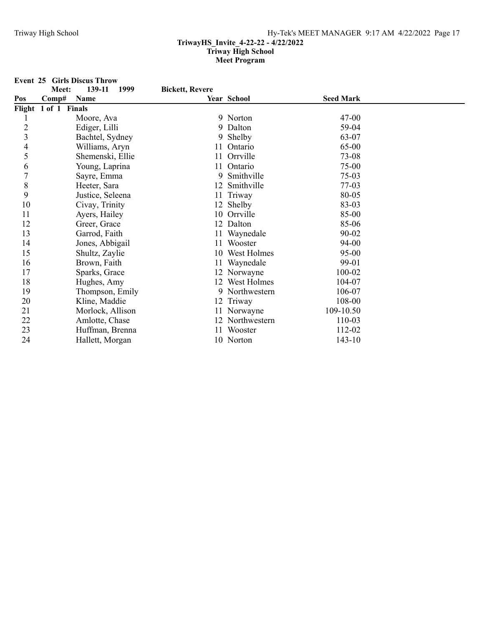**Event 25 Girls Discus Throw**<br>**Meet:** 139-11

| 1999 | <b>Bickett, Revere</b> |
|------|------------------------|
|------|------------------------|

| Pos            | Comp#                | Name             |    | Year School     | <b>Seed Mark</b> |  |
|----------------|----------------------|------------------|----|-----------------|------------------|--|
|                | Flight 1 of 1 Finals |                  |    |                 |                  |  |
|                |                      | Moore, Ava       |    | 9 Norton        | $47 - 00$        |  |
| $\overline{c}$ |                      | Ediger, Lilli    |    | 9 Dalton        | 59-04            |  |
| 3              |                      | Bachtel, Sydney  |    | 9 Shelby        | 63-07            |  |
| 4              |                      | Williams, Aryn   |    | 11 Ontario      | 65-00            |  |
| 5              |                      | Shemenski, Ellie |    | 11 Orrville     | 73-08            |  |
| 6              |                      | Young, Laprina   |    | 11 Ontario      | 75-00            |  |
| 7              |                      | Sayre, Emma      | 9  | Smithville      | $75-03$          |  |
| 8              |                      | Heeter, Sara     |    | 12 Smithville   | $77-03$          |  |
| 9              |                      | Justice, Seleena |    | 11 Triway       | 80-05            |  |
| 10             |                      | Civay, Trinity   |    | 12 Shelby       | 83-03            |  |
| 11             |                      | Ayers, Hailey    |    | 10 Orrville     | 85-00            |  |
| 12             |                      | Greer, Grace     | 12 | Dalton          | 85-06            |  |
| 13             |                      | Garrod, Faith    |    | 11 Waynedale    | 90-02            |  |
| 14             |                      | Jones, Abbigail  |    | 11 Wooster      | 94-00            |  |
| 15             |                      | Shultz, Zaylie   |    | 10 West Holmes  | 95-00            |  |
| 16             |                      | Brown, Faith     |    | 11 Waynedale    | 99-01            |  |
| 17             |                      | Sparks, Grace    |    | 12 Norwayne     | 100-02           |  |
| 18             |                      | Hughes, Amy      |    | 12 West Holmes  | 104-07           |  |
| 19             |                      | Thompson, Emily  |    | 9 Northwestern  | 106-07           |  |
| 20             |                      | Kline, Maddie    |    | 12 Triway       | 108-00           |  |
| 21             |                      | Morlock, Allison |    | 11 Norwayne     | 109-10.50        |  |
| 22             |                      | Amlotte, Chase   |    | 12 Northwestern | 110-03           |  |
| 23             |                      | Huffman, Brenna  | 11 | Wooster         | 112-02           |  |
| 24             |                      | Hallett, Morgan  |    | 10 Norton       | $143 - 10$       |  |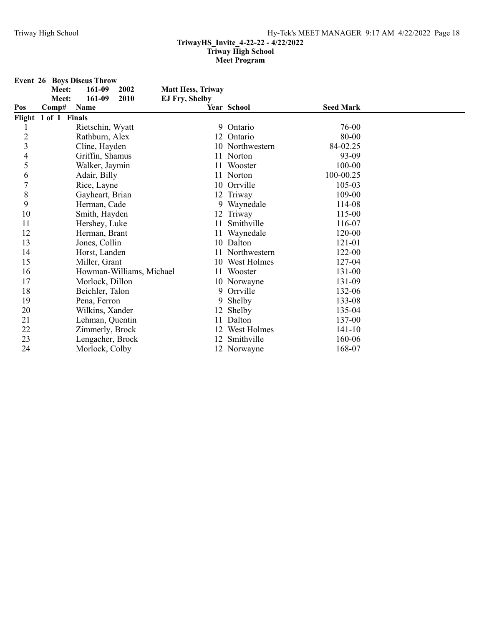|                         | Meet:                | <b>Event 26 Boys Discus Throw</b><br>161-09 | 2002                     | <b>Matt Hess, Triway</b> |                 |                  |  |
|-------------------------|----------------------|---------------------------------------------|--------------------------|--------------------------|-----------------|------------------|--|
|                         | Meet:                | 161-09                                      | 2010                     | <b>EJ Fry, Shelby</b>    |                 |                  |  |
| Pos                     | Comp#                | Name                                        |                          |                          | Year School     | <b>Seed Mark</b> |  |
|                         | Flight 1 of 1 Finals |                                             |                          |                          |                 |                  |  |
|                         |                      | Rietschin, Wyatt                            |                          | 9                        | Ontario         | 76-00            |  |
| $\overline{c}$          |                      | Rathburn, Alex                              |                          |                          | 12 Ontario      | 80-00            |  |
| $\overline{\mathbf{3}}$ |                      | Cline, Hayden                               |                          |                          | 10 Northwestern | 84-02.25         |  |
| 4                       |                      | Griffin, Shamus                             |                          |                          | 11 Norton       | 93-09            |  |
| 5                       |                      | Walker, Jaymin                              |                          | 11                       | Wooster         | 100-00           |  |
| 6                       |                      | Adair, Billy                                |                          |                          | 11 Norton       | 100-00.25        |  |
| $\overline{7}$          |                      | Rice, Layne                                 |                          |                          | 10 Orrville     | 105-03           |  |
| 8                       |                      | Gayheart, Brian                             |                          |                          | 12 Triway       | 109-00           |  |
| 9                       |                      | Herman, Cade                                |                          |                          | 9 Waynedale     | 114-08           |  |
| 10                      |                      | Smith, Hayden                               |                          |                          | 12 Triway       | 115-00           |  |
| 11                      |                      | Hershey, Luke                               |                          | 11                       | Smithville      | 116-07           |  |
| 12                      |                      | Herman, Brant                               |                          | 11                       | Waynedale       | 120-00           |  |
| 13                      |                      | Jones, Collin                               |                          |                          | 10 Dalton       | 121-01           |  |
| 14                      |                      | Horst, Landen                               |                          | 11                       | Northwestern    | 122-00           |  |
| 15                      |                      | Miller, Grant                               |                          |                          | 10 West Holmes  | 127-04           |  |
| 16                      |                      |                                             | Howman-Williams, Michael | 11                       | Wooster         | 131-00           |  |
| 17                      |                      | Morlock, Dillon                             |                          |                          | 10 Norwayne     | 131-09           |  |
| 18                      |                      | Beichler, Talon                             |                          | 9                        | Orrville        | 132-06           |  |
| 19                      |                      | Pena, Ferron                                |                          |                          | 9 Shelby        | 133-08           |  |
| 20                      |                      | Wilkins, Xander                             |                          |                          | 12 Shelby       | 135-04           |  |
| 21                      |                      | Lehman, Quentin                             |                          | 11                       | Dalton          | 137-00           |  |
| 22                      |                      | Zimmerly, Brock                             |                          |                          | West Holmes     | $141 - 10$       |  |
| 23                      |                      | Lengacher, Brock                            |                          |                          | 12 Smithville   | 160-06           |  |
| 24                      |                      | Morlock, Colby                              |                          |                          | 12 Norwayne     | 168-07           |  |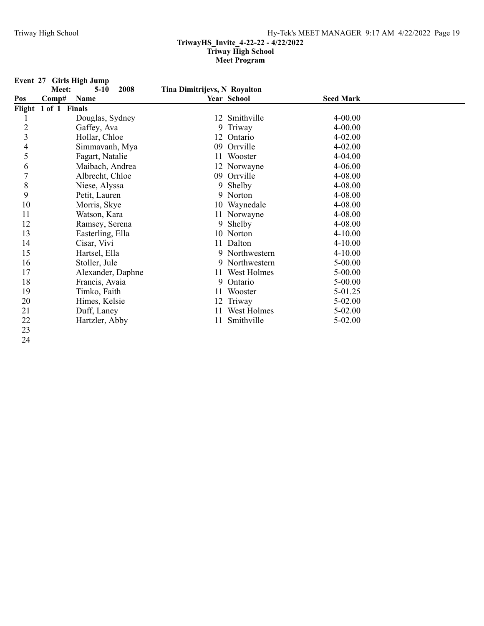**Event 27 Girls High Jump** Meet: 5-10 2008 Tina Dimitrijevs, N Royalton **Pos Comp# Name Year School Seed Mark Flight 1 of 1 Finals** 1 Douglas, Sydney 12 Smithville 4-00.00<br>
2 Gaffey, Ava 9 Triway 4-00.00 2 Gaffey, Ava 9 Triway 9 Arrives 4-00.00 3 Hollar, Chloe 12 Ontario 4-02.00 4 Simmavanh, Mya 09 Orrville 4-02.00<br>5 Fagart, Natalie 11 Wooster 4-04.00 5 Fagart, Natalie 11 Wooster 4-04.00<br>
6 Maibach, Andrea 12 Norwayne 4-06.00 6 Maibach, Andrea 12 Norwayne 4-06.00<br>
7 Albrecht, Chloe 09 Orrville 4-08.00 7 Albrecht, Chloe 09 Orrville 4-08.00<br>
8 Niese, Alyssa 9 Shelby 4-08.00 8 Niese, Alyssa 9 Shelby 4-08.00 9 Petit, Lauren 9 Norton 4-08.00<br>
10 Morris. Skve 10 Wavnedale 4-08.00 10 Morris, Skye 10 Waynedale 4-08.00<br>
11 Watson, Kara 11 Norwayne 4-08.00 11 Norwayne 4-08.00 12 Ramsey, Serena 9 Shelby 4-08.00 13 Easterling, Ella 10 Norton 4-10.00 14 Cisar, Vivi 11 Dalton 4-10.00 15 Hartsel, Ella 9 Northwestern 4-10.00 16 Stoller, Jule 9 Northwestern 5-00.00 17 Alexander, Daphne 11 West Holmes 5-00.00 18 Francis, Avaia 9 Ontario 5-00.00<br>19 Timko, Faith 11 Wooster 5-01.25 Timko, Faith 11 Wooster 5-01.25 20 Himes, Kelsie 12 Triway 5-02.00 21 Duff, Laney 11 West Holmes 5-02.00<br>
22 Hartzler Abby 11 Smithville 5-02.00 22 Hartzler, Abby 11 Smithville 5-02.00 23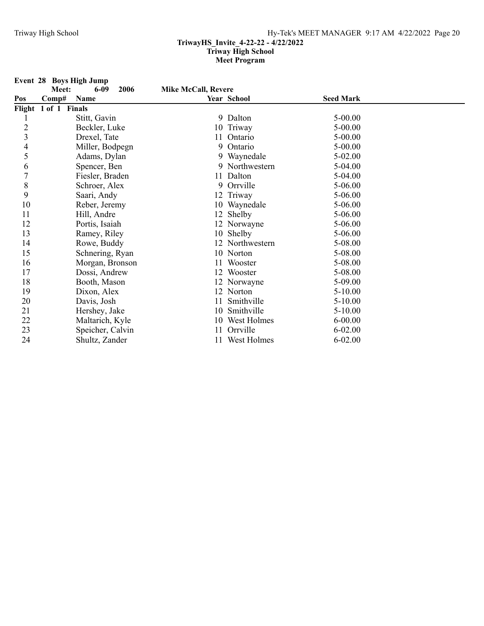|                         |                      | Event 28 Boys High Jump |      |                            |                 |                  |  |
|-------------------------|----------------------|-------------------------|------|----------------------------|-----------------|------------------|--|
| Pos                     | Meet:<br>Comp#       | 6-09<br>Name            | 2006 | <b>Mike McCall, Revere</b> | Year School     | <b>Seed Mark</b> |  |
|                         | Flight 1 of 1 Finals |                         |      |                            |                 |                  |  |
|                         |                      | Stitt, Gavin            |      |                            | 9 Dalton        | $5 - 00.00$      |  |
| $\overline{c}$          |                      | Beckler, Luke           |      |                            | 10 Triway       | $5 - 00.00$      |  |
| $\overline{\mathbf{3}}$ |                      | Drexel, Tate            |      | 11                         | Ontario         | $5 - 00.00$      |  |
| 4                       |                      | Miller, Bodpegn         |      | 9                          | Ontario         | $5 - 00.00$      |  |
| 5                       |                      | Adams, Dylan            |      |                            | 9 Waynedale     | 5-02.00          |  |
| 6                       |                      | Spencer, Ben            |      |                            | 9 Northwestern  | 5-04.00          |  |
| $\overline{7}$          |                      | Fiesler, Braden         |      |                            | 11 Dalton       | 5-04.00          |  |
| 8                       |                      | Schroer, Alex           |      |                            | 9 Orrville      | 5-06.00          |  |
| 9                       |                      | Saari, Andy             |      |                            | 12 Triway       | 5-06.00          |  |
| 10                      |                      | Reber, Jeremy           |      |                            | 10 Waynedale    | 5-06.00          |  |
| 11                      |                      | Hill, Andre             |      |                            | 12 Shelby       | 5-06.00          |  |
| 12                      |                      | Portis, Isaiah          |      |                            | 12 Norwayne     | 5-06.00          |  |
| 13                      |                      | Ramey, Riley            |      |                            | 10 Shelby       | 5-06.00          |  |
| 14                      |                      | Rowe, Buddy             |      |                            | 12 Northwestern | 5-08.00          |  |
| 15                      |                      | Schnering, Ryan         |      |                            | 10 Norton       | 5-08.00          |  |
| 16                      |                      | Morgan, Bronson         |      |                            | Wooster         | 5-08.00          |  |
| 17                      |                      | Dossi, Andrew           |      |                            | 12 Wooster      | 5-08.00          |  |
| 18                      |                      | Booth, Mason            |      |                            | 12 Norwayne     | 5-09.00          |  |
| 19                      |                      | Dixon, Alex             |      |                            | 12 Norton       | 5-10.00          |  |
| 20                      |                      | Davis, Josh             |      |                            | Smithville      | 5-10.00          |  |
| 21                      |                      | Hershey, Jake           |      | 10                         | Smithville      | $5 - 10.00$      |  |
| 22                      |                      | Maltarich, Kyle         |      |                            | 10 West Holmes  | $6 - 00.00$      |  |
| 23                      |                      | Speicher, Calvin        |      |                            | Orrville        | $6 - 02.00$      |  |
| 24                      |                      | Shultz, Zander          |      |                            | 11 West Holmes  | $6 - 02.00$      |  |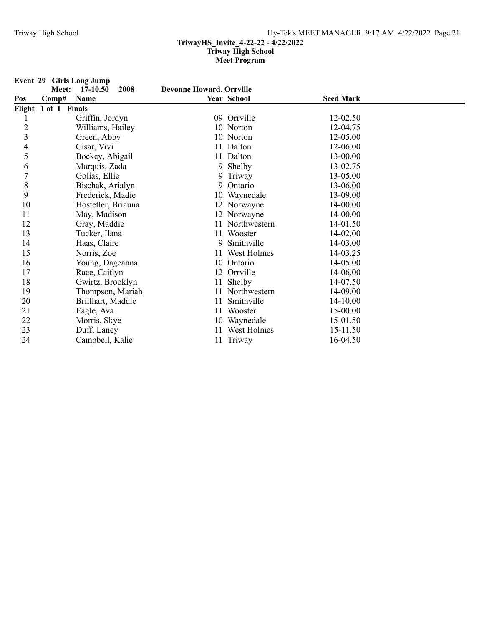|                         | Event 29 Girls Long Jump                   |                                 |                 |                  |  |
|-------------------------|--------------------------------------------|---------------------------------|-----------------|------------------|--|
| Pos                     | 2008<br>17-10.50<br>Meet:<br>Comp#<br>Name | <b>Devonne Howard, Orrville</b> | Year School     | <b>Seed Mark</b> |  |
|                         | Flight 1 of 1 Finals                       |                                 |                 |                  |  |
|                         | Griffin, Jordyn                            |                                 | 09 Orrville     | 12-02.50         |  |
| $\overline{c}$          | Williams, Hailey                           |                                 | 10 Norton       | 12-04.75         |  |
| $\overline{\mathbf{3}}$ | Green, Abby                                |                                 | 10 Norton       | 12-05.00         |  |
| 4                       | Cisar, Vivi                                |                                 | 11 Dalton       | 12-06.00         |  |
| 5                       | Bockey, Abigail                            |                                 | 11 Dalton       | 13-00.00         |  |
| 6                       | Marquis, Zada                              |                                 | 9 Shelby        | 13-02.75         |  |
| $\overline{7}$          | Golias, Ellie                              | 9.                              | Triway          | 13-05.00         |  |
| $\,$ $\,$               | Bischak, Arialyn                           | 9                               | Ontario         | 13-06.00         |  |
| 9                       | Frederick, Madie                           |                                 | 10 Waynedale    | 13-09.00         |  |
| 10                      | Hostetler, Briauna                         |                                 | 12 Norwayne     | 14-00.00         |  |
| 11                      | May, Madison                               |                                 | 12 Norwayne     | 14-00.00         |  |
| 12                      | Gray, Maddie                               |                                 | 11 Northwestern | 14-01.50         |  |
| 13                      | Tucker, Ilana                              |                                 | 11 Wooster      | 14-02.00         |  |
| 14                      | Haas, Claire                               | 9                               | Smithville      | 14-03.00         |  |
| 15                      | Norris, Zoe                                |                                 | 11 West Holmes  | 14-03.25         |  |
| 16                      | Young, Dageanna                            |                                 | 10 Ontario      | 14-05.00         |  |
| 17                      | Race, Caitlyn                              |                                 | 12 Orrville     | 14-06.00         |  |
| 18                      | Gwirtz, Brooklyn                           | 11                              | Shelby          | 14-07.50         |  |
| 19                      | Thompson, Mariah                           |                                 | 11 Northwestern | 14-09.00         |  |
| 20                      | Brillhart, Maddie                          | 11                              | Smithville      | 14-10.00         |  |
| 21                      | Eagle, Ava                                 |                                 | 11 Wooster      | 15-00.00         |  |
| 22                      | Morris, Skye                               |                                 | 10 Waynedale    | 15-01.50         |  |
| 23                      | Duff, Laney                                |                                 | 11 West Holmes  | 15-11.50         |  |
| 24                      | Campbell, Kalie                            |                                 | 11 Triway       | 16-04.50         |  |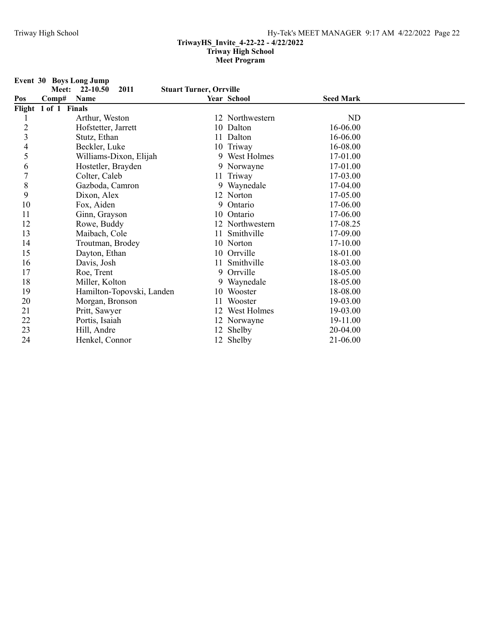|                          |                      | Event 30 Boys Long Jump |                           |                                |                 |                  |  |
|--------------------------|----------------------|-------------------------|---------------------------|--------------------------------|-----------------|------------------|--|
| Pos                      | Meet:<br>Comp#       | 22-10.50<br>Name        | 2011                      | <b>Stuart Turner, Orrville</b> | Year School     | <b>Seed Mark</b> |  |
|                          | Flight 1 of 1 Finals |                         |                           |                                |                 |                  |  |
|                          |                      | Arthur, Weston          |                           |                                | 12 Northwestern | ND               |  |
| $\overline{c}$           |                      | Hofstetter, Jarrett     |                           |                                | 10 Dalton       | 16-06.00         |  |
| 3                        |                      | Stutz, Ethan            |                           |                                | 11 Dalton       | 16-06.00         |  |
| $\overline{\mathcal{A}}$ |                      | Beckler, Luke           |                           |                                | 10 Triway       | 16-08.00         |  |
| 5                        |                      |                         | Williams-Dixon, Elijah    |                                | 9 West Holmes   | 17-01.00         |  |
| 6                        |                      | Hostetler, Brayden      |                           |                                | 9 Norwayne      | 17-01.00         |  |
| $\overline{7}$           |                      | Colter, Caleb           |                           |                                | 11 Triway       | 17-03.00         |  |
| 8                        |                      | Gazboda, Camron         |                           |                                | 9 Waynedale     | 17-04.00         |  |
| 9                        |                      | Dixon, Alex             |                           |                                | 12 Norton       | 17-05.00         |  |
| 10                       |                      | Fox, Aiden              |                           |                                | 9 Ontario       | 17-06.00         |  |
| 11                       |                      | Ginn, Grayson           |                           |                                | 10 Ontario      | 17-06.00         |  |
| 12                       |                      | Rowe, Buddy             |                           |                                | 12 Northwestern | 17-08.25         |  |
| 13                       |                      | Maibach, Cole           |                           |                                | 11 Smithville   | 17-09.00         |  |
| 14                       |                      | Troutman, Brodey        |                           |                                | 10 Norton       | 17-10.00         |  |
| 15                       |                      | Dayton, Ethan           |                           |                                | 10 Orrville     | 18-01.00         |  |
| 16                       |                      | Davis, Josh             |                           | 11                             | Smithville      | 18-03.00         |  |
| 17                       |                      | Roe, Trent              |                           | 9                              | Orrville        | 18-05.00         |  |
| 18                       |                      | Miller, Kolton          |                           |                                | 9 Waynedale     | 18-05.00         |  |
| 19                       |                      |                         | Hamilton-Topovski, Landen |                                | 10 Wooster      | 18-08.00         |  |
| 20                       |                      | Morgan, Bronson         |                           | 11                             | Wooster         | 19-03.00         |  |
| 21                       |                      | Pritt, Sawyer           |                           |                                | 12 West Holmes  | 19-03.00         |  |
| 22                       |                      | Portis, Isaiah          |                           |                                | 12 Norwayne     | 19-11.00         |  |
| 23                       |                      | Hill, Andre             |                           |                                | 12 Shelby       | 20-04.00         |  |
| 24                       |                      | Henkel, Connor          |                           |                                | 12 Shelby       | 21-06.00         |  |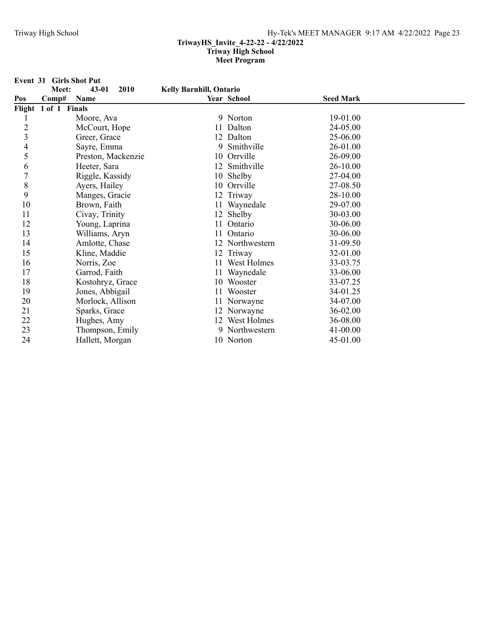**Event 31 Girls Shot Put<br>Meet:** 43-01 2010

**Kelly Barnhill, Ontario** 

| Pos            | Name<br>Comp#        |    | Year School     | <b>Seed Mark</b> |  |
|----------------|----------------------|----|-----------------|------------------|--|
|                | Flight 1 of 1 Finals |    |                 |                  |  |
|                | Moore, Ava           |    | 9 Norton        | 19-01.00         |  |
| $\overline{c}$ | McCourt, Hope        | 11 | Dalton          | 24-05.00         |  |
| 3              | Greer, Grace         |    | 12 Dalton       | 25-06.00         |  |
| 4              | Sayre, Emma          | 9  | Smithville      | 26-01.00         |  |
| 5              | Preston, Mackenzie   |    | 10 Orrville     | 26-09.00         |  |
| 6              | Heeter, Sara         |    | 12 Smithville   | 26-10.00         |  |
| 7              | Riggle, Kassidy      |    | 10 Shelby       | 27-04.00         |  |
| 8              | Ayers, Hailey        |    | 10 Orrville     | 27-08.50         |  |
| 9              | Manges, Gracie       |    | 12 Triway       | 28-10.00         |  |
| 10             | Brown, Faith         |    | 11 Waynedale    | 29-07.00         |  |
| 11             | Civay, Trinity       |    | 12 Shelby       | 30-03.00         |  |
| 12             | Young, Laprina       |    | Ontario         | 30-06.00         |  |
| 13             | Williams, Aryn       | 11 | Ontario         | 30-06.00         |  |
| 14             | Amlotte, Chase       |    | 12 Northwestern | 31-09.50         |  |
| 15             | Kline, Maddie        |    | 12 Triway       | 32-01.00         |  |
| 16             | Norris, Zoe          | 11 | West Holmes     | 33-03.75         |  |
| 17             | Garrod, Faith        |    | 11 Waynedale    | 33-06.00         |  |
| 18             | Kostohryz, Grace     |    | 10 Wooster      | 33-07.25         |  |
| 19             | Jones, Abbigail      |    | Wooster         | 34-01.25         |  |
| 20             | Morlock, Allison     |    | 11 Norwayne     | 34-07.00         |  |
| 21             | Sparks, Grace        |    | 12 Norwayne     | 36-02.00         |  |
| 22             | Hughes, Amy          |    | 12 West Holmes  | 36-08.00         |  |
| 23             | Thompson, Emily      |    | 9 Northwestern  | 41-00.00         |  |
| 24             | Hallett, Morgan      |    | 10 Norton       | 45-01.00         |  |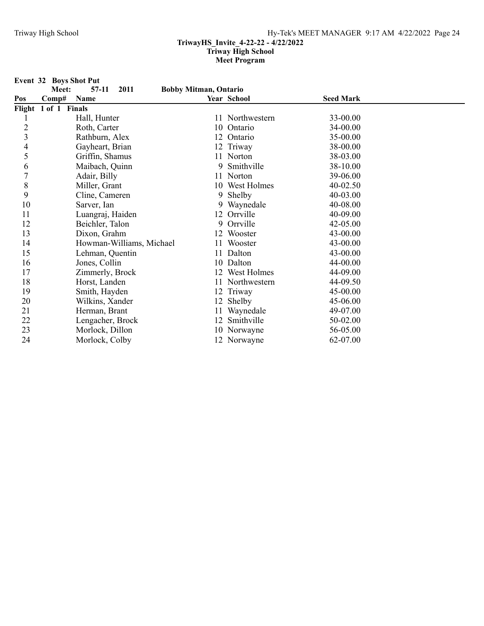**Event 32 Boys Shot Put<br>Meet:** 57-11 2011

 $Bobby$  Mitman, Ontario

| Pos            | Comp#                | Name                     |    | Year School     | <b>Seed Mark</b> |  |
|----------------|----------------------|--------------------------|----|-----------------|------------------|--|
|                | Flight 1 of 1 Finals |                          |    |                 |                  |  |
|                |                      | Hall, Hunter             |    | 11 Northwestern | 33-00.00         |  |
| $\overline{c}$ |                      | Roth, Carter             | 10 | Ontario         | 34-00.00         |  |
| 3              |                      | Rathburn, Alex           | 12 | Ontario         | 35-00.00         |  |
| 4              |                      | Gayheart, Brian          |    | 12 Triway       | 38-00.00         |  |
| 5              |                      | Griffin, Shamus          |    | 11 Norton       | 38-03.00         |  |
| 6              |                      | Maibach, Quinn           | 9. | Smithville      | 38-10.00         |  |
|                |                      | Adair, Billy             | 11 | Norton          | 39-06.00         |  |
| 8              |                      | Miller, Grant            | 10 | West Holmes     | $40 - 02.50$     |  |
| 9              |                      | Cline, Cameren           | 9  | Shelby          | 40-03.00         |  |
| 10             |                      | Sarver, Ian              |    | 9 Waynedale     | 40-08.00         |  |
| 11             |                      | Luangraj, Haiden         |    | 12 Orrville     | 40-09.00         |  |
| 12             |                      | Beichler, Talon          | 9. | Orrville        | 42-05.00         |  |
| 13             |                      | Dixon, Grahm             | 12 | Wooster         | 43-00.00         |  |
| 14             |                      | Howman-Williams, Michael | 11 | Wooster         | 43-00.00         |  |
| 15             |                      | Lehman, Quentin          | 11 | Dalton          | 43-00.00         |  |
| 16             |                      | Jones, Collin            |    | 10 Dalton       | 44-00.00         |  |
| 17             |                      | Zimmerly, Brock          | 12 | West Holmes     | 44-09.00         |  |
| 18             |                      | Horst, Landen            | 11 | Northwestern    | 44-09.50         |  |
| 19             |                      | Smith, Hayden            | 12 | Triway          | 45-00.00         |  |
| 20             |                      | Wilkins, Xander          | 12 | Shelby          | 45-06.00         |  |
| 21             |                      | Herman, Brant            | 11 | Waynedale       | 49-07.00         |  |
| 22             |                      | Lengacher, Brock         | 12 | Smithville      | 50-02.00         |  |
| 23             |                      | Morlock, Dillon          |    | 10 Norwayne     | 56-05.00         |  |
| 24             |                      | Morlock, Colby           |    | 12 Norwayne     | 62-07.00         |  |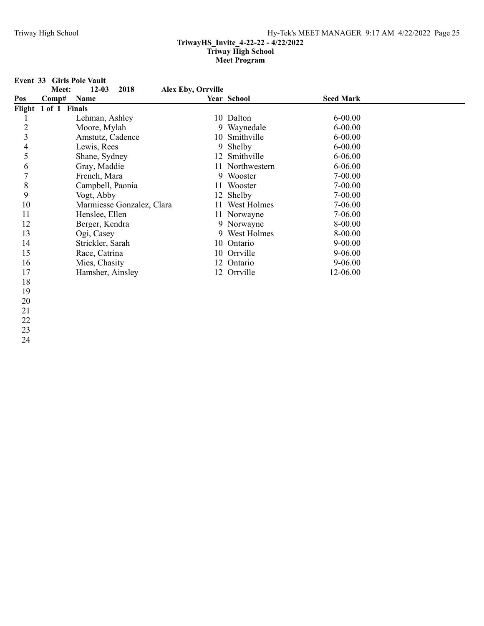**Event 33 Girls Pole Vault**<br>**Meet:** 12-03 2018

# **Alex Eby, Orrville**

| Pos            | Comp#                | Name                      | Year School     | <b>Seed Mark</b> |
|----------------|----------------------|---------------------------|-----------------|------------------|
|                | Flight 1 of 1 Finals |                           |                 |                  |
|                |                      | Lehman, Ashley            | 10 Dalton       | $6 - 00.00$      |
| $\overline{c}$ |                      | Moore, Mylah              | 9 Waynedale     | $6 - 00.00$      |
| 3              |                      | Amstutz, Cadence          | 10 Smithville   | $6 - 00.00$      |
| 4              |                      | Lewis, Rees               | 9 Shelby        | $6 - 00.00$      |
|                |                      | Shane, Sydney             | 12 Smithville   | $6 - 06.00$      |
| 6              |                      | Gray, Maddie              | 11 Northwestern | 6-06.00          |
| 7              |                      | French, Mara              | 9 Wooster       | 7-00.00          |
| 8              |                      | Campbell, Paonia          | 11 Wooster      | 7-00.00          |
| 9              |                      | Vogt, Abby                | 12 Shelby       | 7-00.00          |
| 10             |                      | Marmiesse Gonzalez, Clara | 11 West Holmes  | 7-06.00          |
| 11             |                      | Henslee, Ellen            | 11 Norwayne     | 7-06.00          |
| 12             |                      | Berger, Kendra            | 9 Norwayne      | 8-00.00          |
| 13             |                      | Ogi, Casey                | 9 West Holmes   | 8-00.00          |
| 14             |                      | Strickler, Sarah          | 10 Ontario      | $9 - 00.00$      |
| 15             |                      | Race, Catrina             | 10 Orrville     | $9 - 06.00$      |
| 16             |                      | Mies, Chasity             | 12 Ontario      | 9-06.00          |
| 17             |                      | Hamsher, Ainsley          | 12 Orrville     | 12-06.00         |
| 18             |                      |                           |                 |                  |

- 19
- 20

- 22
- 23 24
	-